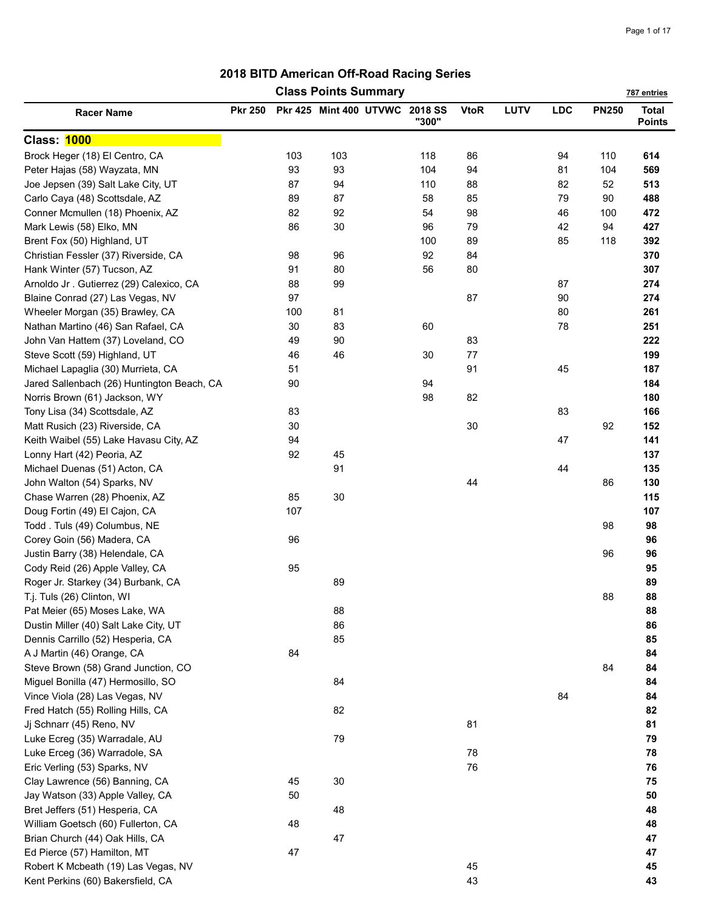|                                            |                |     | <b>Class Points Summary</b>    |       |             |      |     |              | 787 entries                   |
|--------------------------------------------|----------------|-----|--------------------------------|-------|-------------|------|-----|--------------|-------------------------------|
| <b>Racer Name</b>                          | <b>Pkr 250</b> |     | Pkr 425 Mint 400 UTVWC 2018 SS | "300" | <b>VtoR</b> | LUTV | LDC | <b>PN250</b> | <b>Total</b><br><b>Points</b> |
| <b>Class: 1000</b>                         |                |     |                                |       |             |      |     |              |                               |
| Brock Heger (18) El Centro, CA             |                | 103 | 103                            | 118   | 86          |      | 94  | 110          | 614                           |
| Peter Hajas (58) Wayzata, MN               |                | 93  | 93                             | 104   | 94          |      | 81  | 104          | 569                           |
| Joe Jepsen (39) Salt Lake City, UT         |                | 87  | 94                             | 110   | 88          |      | 82  | 52           | 513                           |
| Carlo Caya (48) Scottsdale, AZ             |                | 89  | 87                             | 58    | 85          |      | 79  | 90           | 488                           |
| Conner Mcmullen (18) Phoenix, AZ           |                | 82  | 92                             | 54    | 98          |      | 46  | 100          | 472                           |
| Mark Lewis (58) Elko, MN                   |                | 86  | 30                             | 96    | 79          |      | 42  | 94           | 427                           |
| Brent Fox (50) Highland, UT                |                |     |                                | 100   | 89          |      | 85  | 118          | 392                           |
| Christian Fessler (37) Riverside, CA       |                | 98  | 96                             | 92    | 84          |      |     |              | 370                           |
| Hank Winter (57) Tucson, AZ                |                | 91  | 80                             | 56    | 80          |      |     |              | 307                           |
| Arnoldo Jr. Gutierrez (29) Calexico, CA    |                | 88  | 99                             |       |             |      | 87  |              | 274                           |
| Blaine Conrad (27) Las Vegas, NV           |                | 97  |                                |       | 87          |      | 90  |              | 274                           |
| Wheeler Morgan (35) Brawley, CA            |                | 100 | 81                             |       |             |      | 80  |              | 261                           |
| Nathan Martino (46) San Rafael, CA         |                | 30  | 83                             | 60    |             |      | 78  |              | 251                           |
| John Van Hattem (37) Loveland, CO          |                | 49  | 90                             |       | 83          |      |     |              | 222                           |
| Steve Scott (59) Highland, UT              |                | 46  | 46                             | 30    | 77          |      |     |              | 199                           |
| Michael Lapaglia (30) Murrieta, CA         |                | 51  |                                |       | 91          |      | 45  |              | 187                           |
| Jared Sallenbach (26) Huntington Beach, CA |                | 90  |                                | 94    |             |      |     |              | 184                           |
| Norris Brown (61) Jackson, WY              |                |     |                                | 98    | 82          |      |     |              | 180                           |
| Tony Lisa (34) Scottsdale, AZ              |                | 83  |                                |       |             |      | 83  |              | 166                           |
| Matt Rusich (23) Riverside, CA             |                | 30  |                                |       | 30          |      |     | 92           | 152                           |
| Keith Waibel (55) Lake Havasu City, AZ     |                | 94  |                                |       |             |      | 47  |              | 141                           |
| Lonny Hart (42) Peoria, AZ                 |                | 92  | 45                             |       |             |      |     |              | 137                           |
| Michael Duenas (51) Acton, CA              |                |     | 91                             |       |             |      | 44  |              | 135                           |
| John Walton (54) Sparks, NV                |                |     |                                |       | 44          |      |     | 86           | 130                           |
| Chase Warren (28) Phoenix, AZ              |                | 85  | 30                             |       |             |      |     |              | 115                           |
| Doug Fortin (49) El Cajon, CA              |                | 107 |                                |       |             |      |     |              | 107                           |
| Todd. Tuls (49) Columbus, NE               |                |     |                                |       |             |      |     | 98           | 98                            |
| Corey Goin (56) Madera, CA                 |                | 96  |                                |       |             |      |     |              | 96                            |
| Justin Barry (38) Helendale, CA            |                |     |                                |       |             |      |     | 96           | 96                            |
| Cody Reid (26) Apple Valley, CA            |                | 95  |                                |       |             |      |     |              | 95                            |
| Roger Jr. Starkey (34) Burbank, CA         |                |     | 89                             |       |             |      |     |              | 89                            |
| T.j. Tuls (26) Clinton, WI                 |                |     |                                |       |             |      |     | 88           | 88                            |
| Pat Meier (65) Moses Lake, WA              |                |     | 88                             |       |             |      |     |              | 88                            |
| Dustin Miller (40) Salt Lake City, UT      |                |     | 86                             |       |             |      |     |              | 86                            |
| Dennis Carrillo (52) Hesperia, CA          |                |     | 85                             |       |             |      |     |              | 85                            |
| A J Martin (46) Orange, CA                 |                | 84  |                                |       |             |      |     |              | 84                            |
| Steve Brown (58) Grand Junction, CO        |                |     |                                |       |             |      |     | 84           | 84                            |
| Miguel Bonilla (47) Hermosillo, SO         |                |     | 84                             |       |             |      |     |              | 84                            |
| Vince Viola (28) Las Vegas, NV             |                |     |                                |       |             |      | 84  |              | 84                            |
| Fred Hatch (55) Rolling Hills, CA          |                |     | 82                             |       |             |      |     |              | 82                            |
| Jj Schnarr (45) Reno, NV                   |                |     |                                |       | 81          |      |     |              | 81                            |
| Luke Ecreg (35) Warradale, AU              |                |     | 79                             |       |             |      |     |              | 79                            |
| Luke Erceg (36) Warradole, SA              |                |     |                                |       | 78          |      |     |              | 78                            |
| Eric Verling (53) Sparks, NV               |                |     |                                |       | 76          |      |     |              | 76                            |
| Clay Lawrence (56) Banning, CA             |                | 45  | 30                             |       |             |      |     |              | 75                            |
| Jay Watson (33) Apple Valley, CA           |                | 50  |                                |       |             |      |     |              | 50                            |
| Bret Jeffers (51) Hesperia, CA             |                |     | 48                             |       |             |      |     |              | 48                            |
| William Goetsch (60) Fullerton, CA         |                | 48  |                                |       |             |      |     |              | 48                            |
| Brian Church (44) Oak Hills, CA            |                |     | 47                             |       |             |      |     |              | 47                            |
| Ed Pierce (57) Hamilton, MT                |                | 47  |                                |       |             |      |     |              | 47                            |
| Robert K Mcbeath (19) Las Vegas, NV        |                |     |                                |       | 45          |      |     |              | 45                            |
| Kent Perkins (60) Bakersfield, CA          |                |     |                                |       | 43          |      |     |              | 43                            |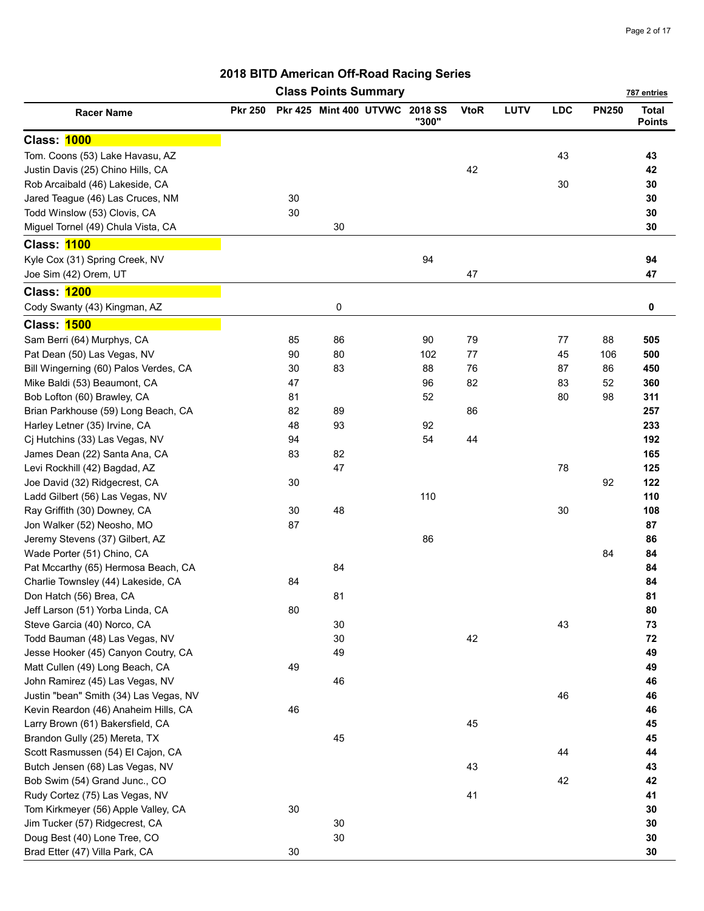|                                        |                |    | <b>Class Points Summary</b> |                         |             |             |            |              | 787 entries                   |
|----------------------------------------|----------------|----|-----------------------------|-------------------------|-------------|-------------|------------|--------------|-------------------------------|
| <b>Racer Name</b>                      | <b>Pkr 250</b> |    | Pkr 425 Mint 400 UTVWC      | <b>2018 SS</b><br>"300" | <b>VtoR</b> | <b>LUTV</b> | <b>LDC</b> | <b>PN250</b> | <b>Total</b><br><b>Points</b> |
| Class: 1000                            |                |    |                             |                         |             |             |            |              |                               |
| Tom. Coons (53) Lake Havasu, AZ        |                |    |                             |                         |             |             | 43         |              | 43                            |
| Justin Davis (25) Chino Hills, CA      |                |    |                             |                         | 42          |             |            |              | 42                            |
| Rob Arcaibald (46) Lakeside, CA        |                |    |                             |                         |             |             | 30         |              | 30                            |
| Jared Teague (46) Las Cruces, NM       |                | 30 |                             |                         |             |             |            |              | 30                            |
| Todd Winslow (53) Clovis, CA           |                | 30 |                             |                         |             |             |            |              | 30                            |
| Miguel Tornel (49) Chula Vista, CA     |                |    | 30                          |                         |             |             |            |              | 30                            |
| <b>Class: 1100</b>                     |                |    |                             |                         |             |             |            |              |                               |
| Kyle Cox (31) Spring Creek, NV         |                |    |                             | 94                      |             |             |            |              | 94                            |
| Joe Sim (42) Orem, UT                  |                |    |                             |                         | 47          |             |            |              | 47                            |
| Class: 1200                            |                |    |                             |                         |             |             |            |              |                               |
| Cody Swanty (43) Kingman, AZ           |                |    | 0                           |                         |             |             |            |              | 0                             |
| <b>Class: 1500</b>                     |                |    |                             |                         |             |             |            |              |                               |
| Sam Berri (64) Murphys, CA             |                | 85 | 86                          | 90                      | 79          |             | 77         | 88           | 505                           |
| Pat Dean (50) Las Vegas, NV            |                | 90 | 80                          | 102                     | 77          |             | 45         | 106          | 500                           |
| Bill Wingerning (60) Palos Verdes, CA  |                | 30 | 83                          | 88                      | 76          |             | 87         | 86           | 450                           |
| Mike Baldi (53) Beaumont, CA           |                | 47 |                             | 96                      | 82          |             | 83         | 52           | 360                           |
| Bob Lofton (60) Brawley, CA            |                | 81 |                             | 52                      |             |             | 80         | 98           | 311                           |
| Brian Parkhouse (59) Long Beach, CA    |                | 82 | 89                          |                         | 86          |             |            |              | 257                           |
| Harley Letner (35) Irvine, CA          |                | 48 | 93                          | 92                      |             |             |            |              | 233                           |
| Cj Hutchins (33) Las Vegas, NV         |                | 94 |                             | 54                      | 44          |             |            |              | 192                           |
| James Dean (22) Santa Ana, CA          |                | 83 | 82                          |                         |             |             |            |              | 165                           |
| Levi Rockhill (42) Bagdad, AZ          |                |    | 47                          |                         |             |             | 78         |              | 125                           |
| Joe David (32) Ridgecrest, CA          |                | 30 |                             |                         |             |             |            | 92           | 122                           |
| Ladd Gilbert (56) Las Vegas, NV        |                |    |                             | 110                     |             |             |            |              | 110                           |
| Ray Griffith (30) Downey, CA           |                | 30 | 48                          |                         |             |             | 30         |              | 108                           |
| Jon Walker (52) Neosho, MO             |                | 87 |                             |                         |             |             |            |              | 87                            |
| Jeremy Stevens (37) Gilbert, AZ        |                |    |                             | 86                      |             |             |            |              | 86                            |
| Wade Porter (51) Chino, CA             |                |    |                             |                         |             |             |            | 84           | 84                            |
| Pat Mccarthy (65) Hermosa Beach, CA    |                |    | 84                          |                         |             |             |            |              | 84                            |
| Charlie Townsley (44) Lakeside, CA     |                | 84 |                             |                         |             |             |            |              | 84                            |
| Don Hatch (56) Brea, CA                |                |    | 81                          |                         |             |             |            |              | 81                            |
| Jeff Larson (51) Yorba Linda, CA       |                | 80 |                             |                         |             |             |            |              | 80                            |
| Steve Garcia (40) Norco, CA            |                |    | 30                          |                         |             |             | 43         |              | 73                            |
| Todd Bauman (48) Las Vegas, NV         |                |    | 30                          |                         | 42          |             |            |              | 72                            |
| Jesse Hooker (45) Canyon Coutry, CA    |                |    | 49                          |                         |             |             |            |              | 49                            |
| Matt Cullen (49) Long Beach, CA        |                | 49 |                             |                         |             |             |            |              | 49                            |
| John Ramirez (45) Las Vegas, NV        |                |    | 46                          |                         |             |             |            |              | 46                            |
| Justin "bean" Smith (34) Las Vegas, NV |                |    |                             |                         |             |             | 46         |              | 46                            |
| Kevin Reardon (46) Anaheim Hills, CA   |                | 46 |                             |                         |             |             |            |              | 46                            |
| Larry Brown (61) Bakersfield, CA       |                |    |                             |                         | 45          |             |            |              | 45                            |
| Brandon Gully (25) Mereta, TX          |                |    | 45                          |                         |             |             |            |              | 45                            |
| Scott Rasmussen (54) El Cajon, CA      |                |    |                             |                         |             |             | 44         |              | 44                            |
| Butch Jensen (68) Las Vegas, NV        |                |    |                             |                         | 43          |             |            |              | 43                            |
| Bob Swim (54) Grand Junc., CO          |                |    |                             |                         |             |             | 42         |              | 42                            |
| Rudy Cortez (75) Las Vegas, NV         |                |    |                             |                         | 41          |             |            |              | 41                            |
| Tom Kirkmeyer (56) Apple Valley, CA    |                | 30 |                             |                         |             |             |            |              | 30                            |
| Jim Tucker (57) Ridgecrest, CA         |                |    | 30                          |                         |             |             |            |              | 30                            |
| Doug Best (40) Lone Tree, CO           |                |    | 30                          |                         |             |             |            |              | 30                            |
| Brad Etter (47) Villa Park, CA         |                | 30 |                             |                         |             |             |            |              | 30                            |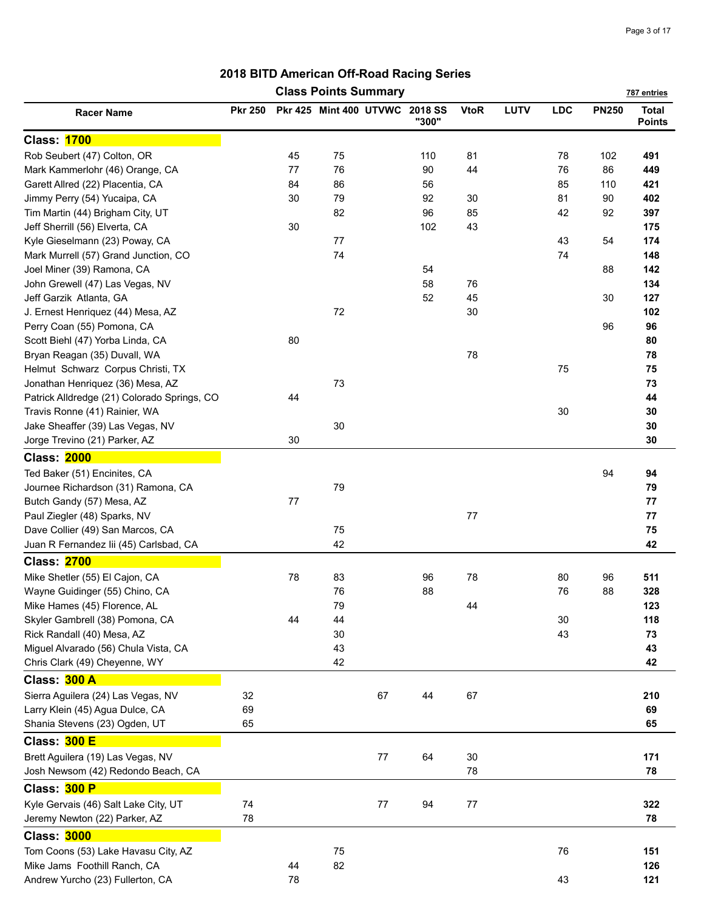|                                             |                |         | <b>Class Points Summary</b>    |      |       |             |      |            |              | 787 entries                   |
|---------------------------------------------|----------------|---------|--------------------------------|------|-------|-------------|------|------------|--------------|-------------------------------|
| <b>Racer Name</b>                           | <b>Pkr 250</b> |         | Pkr 425 Mint 400 UTVWC 2018 SS |      | "300" | <b>VtoR</b> | LUTV | <b>LDC</b> | <b>PN250</b> | <b>Total</b><br><b>Points</b> |
| <b>Class: 1700</b>                          |                |         |                                |      |       |             |      |            |              |                               |
| Rob Seubert (47) Colton, OR                 |                | 45      | 75                             |      | 110   | 81          |      | 78         | 102          | 491                           |
| Mark Kammerlohr (46) Orange, CA             |                | 77      | 76                             |      | 90    | 44          |      | 76         | 86           | 449                           |
| Garett Allred (22) Placentia, CA            |                | 84      | 86                             |      | 56    |             |      | 85         | 110          | 421                           |
| Jimmy Perry (54) Yucaipa, CA                |                | 30      | 79                             |      | 92    | 30          |      | 81         | 90           | 402                           |
| Tim Martin (44) Brigham City, UT            |                |         | 82                             |      | 96    | 85          |      | 42         | 92           | 397                           |
| Jeff Sherrill (56) Elverta, CA              |                | 30      |                                |      | 102   | 43          |      |            |              | 175                           |
| Kyle Gieselmann (23) Poway, CA              |                |         | 77                             |      |       |             |      | 43         | 54           | 174                           |
| Mark Murrell (57) Grand Junction, CO        |                |         | 74                             |      |       |             |      | 74         |              | 148                           |
| Joel Miner (39) Ramona, CA                  |                |         |                                |      | 54    |             |      |            | 88           | 142                           |
| John Grewell (47) Las Vegas, NV             |                |         |                                |      | 58    | 76          |      |            |              | 134                           |
| Jeff Garzik Atlanta, GA                     |                |         |                                |      | 52    | 45          |      |            | 30           | 127                           |
| J. Ernest Henriquez (44) Mesa, AZ           |                |         | 72                             |      |       | 30          |      |            |              | 102                           |
| Perry Coan (55) Pomona, CA                  |                |         |                                |      |       |             |      |            | 96           | 96                            |
| Scott Biehl (47) Yorba Linda, CA            |                | 80      |                                |      |       |             |      |            |              | 80                            |
| Bryan Reagan (35) Duvall, WA                |                |         |                                |      |       | 78          |      |            |              | 78                            |
| Helmut Schwarz Corpus Christi, TX           |                |         |                                |      |       |             |      | 75         |              | 75                            |
| Jonathan Henriquez (36) Mesa, AZ            |                |         | 73                             |      |       |             |      |            |              | 73                            |
| Patrick Alldredge (21) Colorado Springs, CO |                | 44      |                                |      |       |             |      |            |              | 44                            |
| Travis Ronne (41) Rainier, WA               |                |         |                                |      |       |             |      | 30         |              | 30                            |
| Jake Sheaffer (39) Las Vegas, NV            |                |         | 30                             |      |       |             |      |            |              | 30                            |
| Jorge Trevino (21) Parker, AZ               |                | 30      |                                |      |       |             |      |            |              | 30                            |
| <b>Class: 2000</b>                          |                |         |                                |      |       |             |      |            |              |                               |
| Ted Baker (51) Encinites, CA                |                |         |                                |      |       |             |      |            | 94           | 94                            |
| Journee Richardson (31) Ramona, CA          |                |         | 79                             |      |       |             |      |            |              | 79                            |
| Butch Gandy (57) Mesa, AZ                   |                | $77 \,$ |                                |      |       |             |      |            |              | 77                            |
| Paul Ziegler (48) Sparks, NV                |                |         |                                |      |       | $77 \,$     |      |            |              | 77                            |
| Dave Collier (49) San Marcos, CA            |                |         | 75                             |      |       |             |      |            |              | 75                            |
| Juan R Fernandez lii (45) Carlsbad, CA      |                |         | 42                             |      |       |             |      |            |              | 42                            |
| <b>Class: 2700</b>                          |                |         |                                |      |       |             |      |            |              |                               |
| Mike Shetler (55) El Cajon, CA              |                | 78      | 83                             |      | 96    | 78          |      | 80         | 96           | 511                           |
| Wayne Guidinger (55) Chino, CA              |                |         | 76                             |      | 88    |             |      | 76         | 88           | 328                           |
| Mike Hames (45) Florence, AL                |                |         | 79                             |      |       | 44          |      |            |              | 123                           |
| Skyler Gambrell (38) Pomona, CA             |                | 44      | 44                             |      |       |             |      | 30         |              | 118                           |
| Rick Randall (40) Mesa, AZ                  |                |         | 30                             |      |       |             |      | 43         |              | 73                            |
| Miguel Alvarado (56) Chula Vista, CA        |                |         | 43                             |      |       |             |      |            |              | 43                            |
| Chris Clark (49) Cheyenne, WY               |                |         | 42                             |      |       |             |      |            |              | 42                            |
| Class: 300 A                                |                |         |                                |      |       |             |      |            |              |                               |
| Sierra Aguilera (24) Las Vegas, NV          | 32             |         |                                | 67   | 44    | 67          |      |            |              | 210                           |
| Larry Klein (45) Agua Dulce, CA             | 69             |         |                                |      |       |             |      |            |              | 69                            |
| Shania Stevens (23) Ogden, UT               | 65             |         |                                |      |       |             |      |            |              | 65                            |
|                                             |                |         |                                |      |       |             |      |            |              |                               |
| Class: 300 E                                |                |         |                                |      |       |             |      |            |              |                               |
| Brett Aguilera (19) Las Vegas, NV           |                |         |                                | $77$ | 64    | $30\,$      |      |            |              | 171                           |
| Josh Newsom (42) Redondo Beach, CA          |                |         |                                |      |       | 78          |      |            |              | 78                            |
| Class: 300 P                                |                |         |                                |      |       |             |      |            |              |                               |
| Kyle Gervais (46) Salt Lake City, UT        | 74             |         |                                | 77   | 94    | 77          |      |            |              | 322                           |
| Jeremy Newton (22) Parker, AZ               | 78             |         |                                |      |       |             |      |            |              | 78                            |
| <b>Class: 3000</b>                          |                |         |                                |      |       |             |      |            |              |                               |
| Tom Coons (53) Lake Havasu City, AZ         |                |         | 75                             |      |       |             |      | 76         |              | 151                           |
| Mike Jams Foothill Ranch, CA                |                | 44      | 82                             |      |       |             |      |            |              | 126                           |
| Andrew Yurcho (23) Fullerton, CA            |                | 78      |                                |      |       |             |      | 43         |              | 121                           |
|                                             |                |         |                                |      |       |             |      |            |              |                               |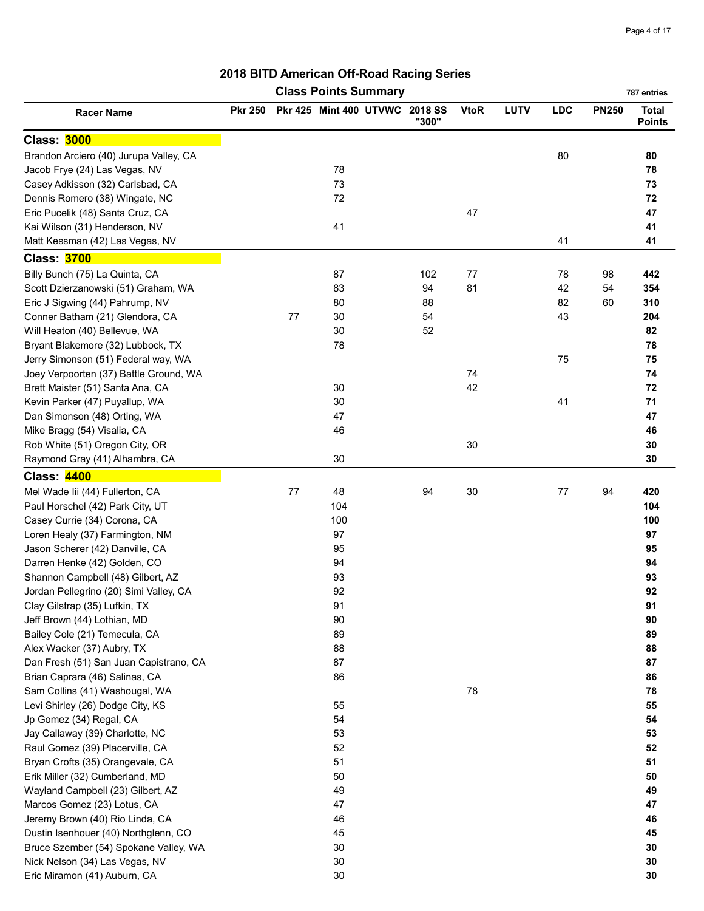|                                        |                |      | <b>Class Points Summary</b>    |       |             |      |            |              | 787 entries                   |
|----------------------------------------|----------------|------|--------------------------------|-------|-------------|------|------------|--------------|-------------------------------|
| <b>Racer Name</b>                      | <b>Pkr 250</b> |      | Pkr 425 Mint 400 UTVWC 2018 SS | "300" | <b>VtoR</b> | LUTV | <b>LDC</b> | <b>PN250</b> | <b>Total</b><br><b>Points</b> |
| <b>Class: 3000</b>                     |                |      |                                |       |             |      |            |              |                               |
| Brandon Arciero (40) Jurupa Valley, CA |                |      |                                |       |             |      | 80         |              | 80                            |
| Jacob Frye (24) Las Vegas, NV          |                |      | 78                             |       |             |      |            |              | 78                            |
| Casey Adkisson (32) Carlsbad, CA       |                |      | 73                             |       |             |      |            |              | 73                            |
| Dennis Romero (38) Wingate, NC         |                |      | 72                             |       |             |      |            |              | 72                            |
| Eric Pucelik (48) Santa Cruz, CA       |                |      |                                |       | 47          |      |            |              | 47                            |
| Kai Wilson (31) Henderson, NV          |                |      | 41                             |       |             |      |            |              | 41                            |
| Matt Kessman (42) Las Vegas, NV        |                |      |                                |       |             |      | 41         |              | 41                            |
| <b>Class: 3700</b>                     |                |      |                                |       |             |      |            |              |                               |
| Billy Bunch (75) La Quinta, CA         |                |      | 87                             | 102   | 77          |      | 78         | 98           | 442                           |
| Scott Dzierzanowski (51) Graham, WA    |                |      | 83                             | 94    | 81          |      | 42         | 54           | 354                           |
| Eric J Sigwing (44) Pahrump, NV        |                |      | 80                             | 88    |             |      | 82         | 60           | 310                           |
| Conner Batham (21) Glendora, CA        |                | 77   | 30                             | 54    |             |      | 43         |              | 204                           |
| Will Heaton (40) Bellevue, WA          |                |      | 30                             | 52    |             |      |            |              | 82                            |
| Bryant Blakemore (32) Lubbock, TX      |                |      | 78                             |       |             |      |            |              | 78                            |
| Jerry Simonson (51) Federal way, WA    |                |      |                                |       |             |      | 75         |              | 75                            |
| Joey Verpoorten (37) Battle Ground, WA |                |      |                                |       | 74          |      |            |              | 74                            |
| Brett Maister (51) Santa Ana, CA       |                |      | 30                             |       | 42          |      |            |              | 72                            |
| Kevin Parker (47) Puyallup, WA         |                |      | $30\,$                         |       |             |      | 41         |              | 71                            |
| Dan Simonson (48) Orting, WA           |                |      | 47                             |       |             |      |            |              | 47                            |
| Mike Bragg (54) Visalia, CA            |                |      | 46                             |       |             |      |            |              | 46                            |
| Rob White (51) Oregon City, OR         |                |      |                                |       | 30          |      |            |              | 30                            |
| Raymond Gray (41) Alhambra, CA         |                |      | $30\,$                         |       |             |      |            |              | 30                            |
| Class: 4400                            |                |      |                                |       |             |      |            |              |                               |
| Mel Wade lii (44) Fullerton, CA        |                | $77$ | 48                             | 94    | 30          |      | 77         | 94           | 420                           |
| Paul Horschel (42) Park City, UT       |                |      | 104                            |       |             |      |            |              | 104                           |
| Casey Currie (34) Corona, CA           |                |      | 100                            |       |             |      |            |              | 100                           |
| Loren Healy (37) Farmington, NM        |                |      | 97                             |       |             |      |            |              | 97                            |
| Jason Scherer (42) Danville, CA        |                |      | 95                             |       |             |      |            |              | 95                            |
| Darren Henke (42) Golden, CO           |                |      | 94                             |       |             |      |            |              | 94                            |
| Shannon Campbell (48) Gilbert, AZ      |                |      | 93                             |       |             |      |            |              | 93                            |
| Jordan Pellegrino (20) Simi Valley, CA |                |      | 92                             |       |             |      |            |              | 92                            |
| Clay Gilstrap (35) Lufkin, TX          |                |      | 91                             |       |             |      |            |              | 91                            |
| Jeff Brown (44) Lothian, MD            |                |      | 90                             |       |             |      |            |              | 90                            |
| Bailey Cole (21) Temecula, CA          |                |      | 89                             |       |             |      |            |              | 89                            |
| Alex Wacker (37) Aubry, TX             |                |      | 88                             |       |             |      |            |              | 88                            |
| Dan Fresh (51) San Juan Capistrano, CA |                |      | 87                             |       |             |      |            |              | 87                            |
| Brian Caprara (46) Salinas, CA         |                |      | 86                             |       |             |      |            |              | 86                            |
| Sam Collins (41) Washougal, WA         |                |      |                                |       | 78          |      |            |              | 78                            |
| Levi Shirley (26) Dodge City, KS       |                |      | 55                             |       |             |      |            |              | 55                            |
| Jp Gomez (34) Regal, CA                |                |      | 54                             |       |             |      |            |              | 54                            |
| Jay Callaway (39) Charlotte, NC        |                |      | 53                             |       |             |      |            |              | 53                            |
| Raul Gomez (39) Placerville, CA        |                |      | 52                             |       |             |      |            |              | 52                            |
| Bryan Crofts (35) Orangevale, CA       |                |      | 51                             |       |             |      |            |              | 51                            |
| Erik Miller (32) Cumberland, MD        |                |      | 50                             |       |             |      |            |              | 50                            |
| Wayland Campbell (23) Gilbert, AZ      |                |      | 49                             |       |             |      |            |              | 49                            |
| Marcos Gomez (23) Lotus, CA            |                |      | 47                             |       |             |      |            |              | 47                            |
| Jeremy Brown (40) Rio Linda, CA        |                |      | 46                             |       |             |      |            |              | 46                            |
| Dustin Isenhouer (40) Northglenn, CO   |                |      | 45                             |       |             |      |            |              | 45                            |
| Bruce Szember (54) Spokane Valley, WA  |                |      | 30                             |       |             |      |            |              | 30                            |
| Nick Nelson (34) Las Vegas, NV         |                |      | 30                             |       |             |      |            |              | 30                            |
| Eric Miramon (41) Auburn, CA           |                |      | 30                             |       |             |      |            |              | 30                            |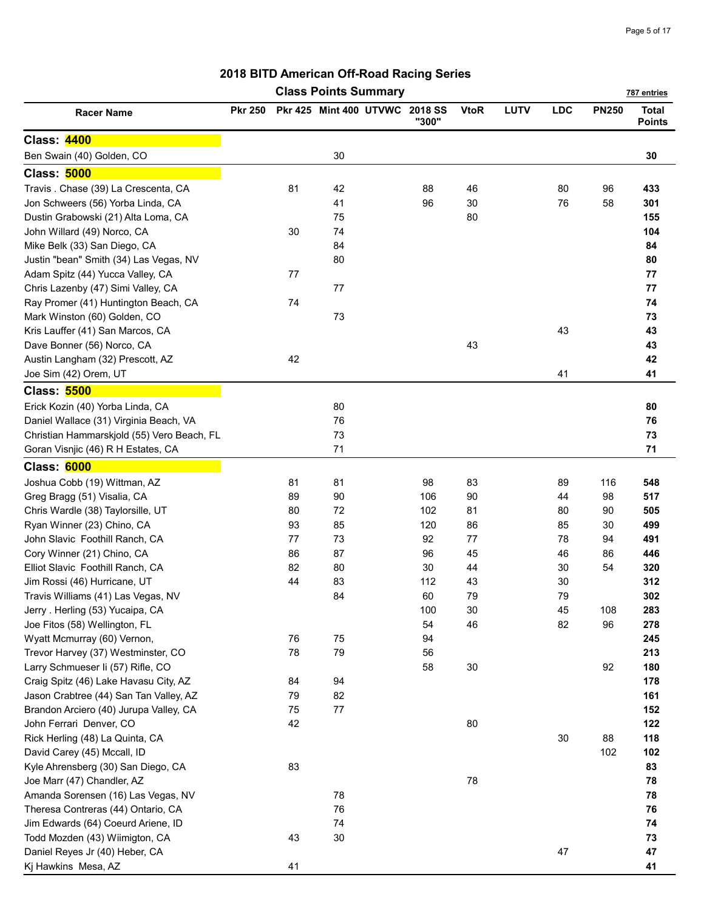|                                                                  |                |    | <b>Class Points Summary</b>    |       |             |      |            |              | 787 entries                   |
|------------------------------------------------------------------|----------------|----|--------------------------------|-------|-------------|------|------------|--------------|-------------------------------|
| <b>Racer Name</b>                                                | <b>Pkr 250</b> |    | Pkr 425 Mint 400 UTVWC 2018 SS | "300" | <b>VtoR</b> | LUTV | <b>LDC</b> | <b>PN250</b> | <b>Total</b><br><b>Points</b> |
| <b>Class: 4400</b>                                               |                |    |                                |       |             |      |            |              |                               |
| Ben Swain (40) Golden, CO                                        |                |    | 30                             |       |             |      |            |              | 30                            |
| <b>Class: 5000</b>                                               |                |    |                                |       |             |      |            |              |                               |
| Travis . Chase (39) La Crescenta, CA                             |                | 81 | 42                             | 88    | 46          |      | 80         | 96           | 433                           |
| Jon Schweers (56) Yorba Linda, CA                                |                |    | 41                             | 96    | 30          |      | 76         | 58           | 301                           |
| Dustin Grabowski (21) Alta Loma, CA                              |                |    | 75                             |       | 80          |      |            |              | 155                           |
| John Willard (49) Norco, CA                                      |                | 30 | 74                             |       |             |      |            |              | 104                           |
| Mike Belk (33) San Diego, CA                                     |                |    | 84                             |       |             |      |            |              | 84                            |
| Justin "bean" Smith (34) Las Vegas, NV                           |                |    | 80                             |       |             |      |            |              | 80                            |
| Adam Spitz (44) Yucca Valley, CA                                 |                | 77 |                                |       |             |      |            |              | 77                            |
| Chris Lazenby (47) Simi Valley, CA                               |                |    | 77                             |       |             |      |            |              | 77                            |
| Ray Promer (41) Huntington Beach, CA                             |                | 74 |                                |       |             |      |            |              | 74                            |
| Mark Winston (60) Golden, CO                                     |                |    | 73                             |       |             |      |            |              | 73                            |
| Kris Lauffer (41) San Marcos, CA                                 |                |    |                                |       |             |      | 43         |              | 43                            |
| Dave Bonner (56) Norco, CA                                       |                |    |                                |       | 43          |      |            |              | 43                            |
| Austin Langham (32) Prescott, AZ                                 |                | 42 |                                |       |             |      |            |              | 42                            |
| Joe Sim (42) Orem, UT                                            |                |    |                                |       |             |      | 41         |              | 41                            |
| <b>Class: 5500</b>                                               |                |    |                                |       |             |      |            |              |                               |
| Erick Kozin (40) Yorba Linda, CA                                 |                |    | 80                             |       |             |      |            |              | 80                            |
| Daniel Wallace (31) Virginia Beach, VA                           |                |    | 76                             |       |             |      |            |              | 76                            |
| Christian Hammarskjold (55) Vero Beach, FL                       |                |    | 73                             |       |             |      |            |              | 73                            |
| Goran Visnjic (46) R H Estates, CA                               |                |    | 71                             |       |             |      |            |              | 71                            |
| Class: 6000                                                      |                |    |                                |       |             |      |            |              |                               |
| Joshua Cobb (19) Wittman, AZ                                     |                | 81 | 81                             | 98    | 83          |      | 89         | 116          | 548                           |
| Greg Bragg (51) Visalia, CA                                      |                | 89 | 90                             | 106   | 90          |      | 44         | 98           | 517                           |
| Chris Wardle (38) Taylorsille, UT                                |                | 80 | 72                             | 102   | 81          |      | 80         | 90           | 505                           |
| Ryan Winner (23) Chino, CA                                       |                | 93 | 85                             | 120   | 86          |      | 85         | 30           | 499                           |
| John Slavic Foothill Ranch, CA                                   |                | 77 | 73                             | 92    | 77          |      | 78         | 94           | 491                           |
| Cory Winner (21) Chino, CA                                       |                | 86 | 87                             | 96    | 45          |      | 46         | 86           | 446                           |
| Elliot Slavic Foothill Ranch, CA                                 |                | 82 | 80                             | 30    | 44          |      | 30         | 54           | 320                           |
| Jim Rossi (46) Hurricane, UT                                     |                | 44 | 83                             | 112   | 43          |      | 30         |              | 312                           |
| Travis Williams (41) Las Vegas, NV                               |                |    | 84                             | 60    | 79          |      | 79         |              | 302                           |
| Jerry . Herling (53) Yucaipa, CA                                 |                |    |                                | 100   | 30          |      | 45         | 108          | 283                           |
| Joe Fitos (58) Wellington, FL                                    |                |    |                                | 54    | 46          |      | 82         | 96           | 278                           |
| Wyatt Mcmurray (60) Vernon,                                      |                | 76 | 75                             | 94    |             |      |            |              | 245                           |
| Trevor Harvey (37) Westminster, CO                               |                | 78 | 79                             | 56    |             |      |            |              | 213                           |
| Larry Schmueser li (57) Rifle, CO                                |                |    |                                | 58    | $30\,$      |      |            | 92           | 180                           |
| Craig Spitz (46) Lake Havasu City, AZ                            |                | 84 | 94                             |       |             |      |            |              | 178                           |
| Jason Crabtree (44) San Tan Valley, AZ                           |                | 79 | 82                             |       |             |      |            |              | 161                           |
| Brandon Arciero (40) Jurupa Valley, CA                           |                | 75 | $77 \,$                        |       |             |      |            |              | 152                           |
| John Ferrari Denver, CO                                          |                | 42 |                                |       | 80          |      |            |              | 122                           |
| Rick Herling (48) La Quinta, CA                                  |                |    |                                |       |             |      | 30         | 88           | 118                           |
| David Carey (45) Mccall, ID                                      |                |    |                                |       |             |      |            | 102          | 102                           |
| Kyle Ahrensberg (30) San Diego, CA                               |                | 83 |                                |       |             |      |            |              | 83                            |
| Joe Marr (47) Chandler, AZ                                       |                |    |                                |       | 78          |      |            |              | 78                            |
| Amanda Sorensen (16) Las Vegas, NV                               |                |    | 78                             |       |             |      |            |              | 78                            |
| Theresa Contreras (44) Ontario, CA                               |                |    | 76                             |       |             |      |            |              | 76                            |
| Jim Edwards (64) Coeurd Ariene, ID                               |                |    | 74                             |       |             |      |            |              | 74                            |
| Todd Mozden (43) Wiimigton, CA<br>Daniel Reyes Jr (40) Heber, CA |                | 43 | $30\,$                         |       |             |      | 47         |              | 73<br>47                      |
| Kj Hawkins Mesa, AZ                                              |                | 41 |                                |       |             |      |            |              | 41                            |
|                                                                  |                |    |                                |       |             |      |            |              |                               |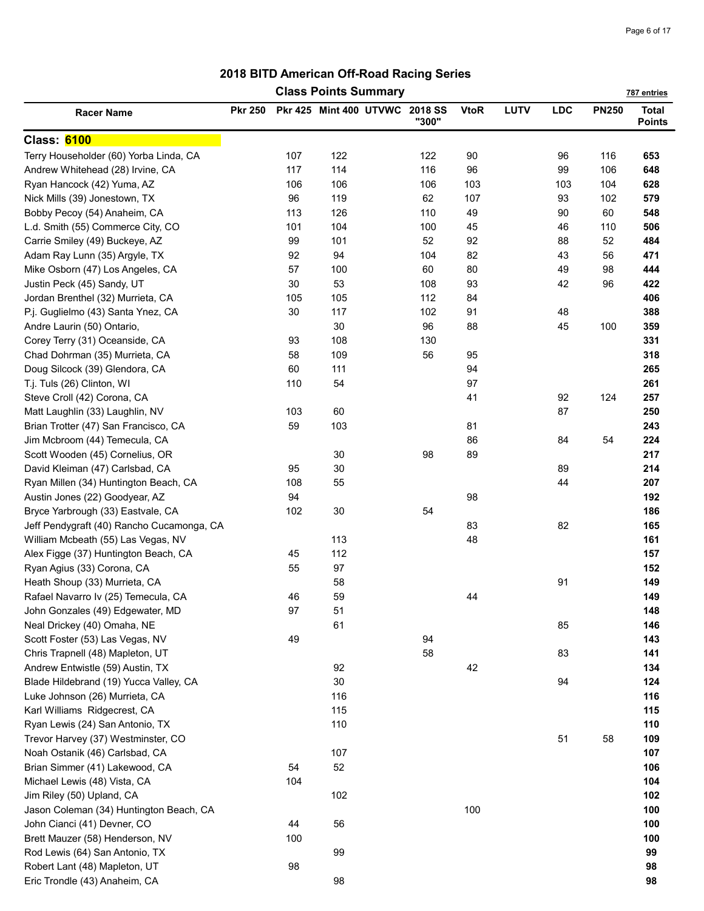|                                           |                |     | <b>Class Points Summary</b>    |       |             |      |     |              | 787 entries                   |
|-------------------------------------------|----------------|-----|--------------------------------|-------|-------------|------|-----|--------------|-------------------------------|
| <b>Racer Name</b>                         | <b>Pkr 250</b> |     | Pkr 425 Mint 400 UTVWC 2018 SS | "300" | <b>VtoR</b> | LUTV | LDC | <b>PN250</b> | <b>Total</b><br><b>Points</b> |
| Class: 6100                               |                |     |                                |       |             |      |     |              |                               |
| Terry Householder (60) Yorba Linda, CA    |                | 107 | 122                            | 122   | 90          |      | 96  | 116          | 653                           |
| Andrew Whitehead (28) Irvine, CA          |                | 117 | 114                            | 116   | 96          |      | 99  | 106          | 648                           |
| Ryan Hancock (42) Yuma, AZ                |                | 106 | 106                            | 106   | 103         |      | 103 | 104          | 628                           |
| Nick Mills (39) Jonestown, TX             |                | 96  | 119                            | 62    | 107         |      | 93  | 102          | 579                           |
| Bobby Pecoy (54) Anaheim, CA              |                | 113 | 126                            | 110   | 49          |      | 90  | 60           | 548                           |
| L.d. Smith (55) Commerce City, CO         |                | 101 | 104                            | 100   | 45          |      | 46  | 110          | 506                           |
| Carrie Smiley (49) Buckeye, AZ            |                | 99  | 101                            | 52    | 92          |      | 88  | 52           | 484                           |
| Adam Ray Lunn (35) Argyle, TX             |                | 92  | 94                             | 104   | 82          |      | 43  | 56           | 471                           |
| Mike Osborn (47) Los Angeles, CA          |                | 57  | 100                            | 60    | 80          |      | 49  | 98           | 444                           |
| Justin Peck (45) Sandy, UT                |                | 30  | 53                             | 108   | 93          |      | 42  | 96           | 422                           |
| Jordan Brenthel (32) Murrieta, CA         |                | 105 | 105                            | 112   | 84          |      |     |              | 406                           |
| P.j. Guglielmo (43) Santa Ynez, CA        |                | 30  | 117                            | 102   | 91          |      | 48  |              | 388                           |
| Andre Laurin (50) Ontario,                |                |     | 30                             | 96    | 88          |      | 45  | 100          | 359                           |
| Corey Terry (31) Oceanside, CA            |                | 93  | 108                            | 130   |             |      |     |              | 331                           |
| Chad Dohrman (35) Murrieta, CA            |                | 58  | 109                            | 56    | 95          |      |     |              | 318                           |
| Doug Silcock (39) Glendora, CA            |                | 60  | 111                            |       | 94          |      |     |              | 265                           |
| T.j. Tuls (26) Clinton, WI                |                | 110 | 54                             |       | 97          |      |     |              | 261                           |
| Steve Croll (42) Corona, CA               |                |     |                                |       | 41          |      | 92  | 124          | 257                           |
| Matt Laughlin (33) Laughlin, NV           |                | 103 | 60                             |       |             |      | 87  |              | 250                           |
| Brian Trotter (47) San Francisco, CA      |                | 59  | 103                            |       | 81          |      |     |              | 243                           |
| Jim Mcbroom (44) Temecula, CA             |                |     |                                |       | 86          |      | 84  | 54           | 224                           |
|                                           |                |     | $30\,$                         | 98    | 89          |      |     |              | 217                           |
| Scott Wooden (45) Cornelius, OR           |                |     | 30                             |       |             |      | 89  |              | 214                           |
| David Kleiman (47) Carlsbad, CA           |                | 95  |                                |       |             |      |     |              |                               |
| Ryan Millen (34) Huntington Beach, CA     |                | 108 | 55                             |       |             |      | 44  |              | 207                           |
| Austin Jones (22) Goodyear, AZ            |                | 94  |                                |       | 98          |      |     |              | 192                           |
| Bryce Yarbrough (33) Eastvale, CA         |                | 102 | 30                             | 54    |             |      |     |              | 186                           |
| Jeff Pendygraft (40) Rancho Cucamonga, CA |                |     |                                |       | 83          |      | 82  |              | 165                           |
| William Mcbeath (55) Las Vegas, NV        |                |     | 113                            |       | 48          |      |     |              | 161                           |
| Alex Figge (37) Huntington Beach, CA      |                | 45  | 112                            |       |             |      |     |              | 157                           |
| Ryan Agius (33) Corona, CA                |                | 55  | 97                             |       |             |      |     |              | 152                           |
| Heath Shoup (33) Murrieta, CA             |                |     | 58                             |       |             |      | 91  |              | 149                           |
| Rafael Navarro Iv (25) Temecula, CA       |                | 46  | 59                             |       | 44          |      |     |              | 149                           |
| John Gonzales (49) Edgewater, MD          |                | 97  | 51                             |       |             |      |     |              | 148                           |
| Neal Drickey (40) Omaha, NE               |                |     | 61                             |       |             |      | 85  |              | 146                           |
| Scott Foster (53) Las Vegas, NV           |                | 49  |                                | 94    |             |      |     |              | 143                           |
| Chris Trapnell (48) Mapleton, UT          |                |     |                                | 58    |             |      | 83  |              | 141                           |
| Andrew Entwistle (59) Austin, TX          |                |     | 92                             |       | 42          |      |     |              | 134                           |
| Blade Hildebrand (19) Yucca Valley, CA    |                |     | $30\,$                         |       |             |      | 94  |              | 124                           |
| Luke Johnson (26) Murrieta, CA            |                |     | 116                            |       |             |      |     |              | 116                           |
| Karl Williams Ridgecrest, CA              |                |     | 115                            |       |             |      |     |              | 115                           |
| Ryan Lewis (24) San Antonio, TX           |                |     | 110                            |       |             |      |     |              | 110                           |
| Trevor Harvey (37) Westminster, CO        |                |     |                                |       |             |      | 51  | 58           | 109                           |
| Noah Ostanik (46) Carlsbad, CA            |                |     | 107                            |       |             |      |     |              | 107                           |
| Brian Simmer (41) Lakewood, CA            |                | 54  | 52                             |       |             |      |     |              | 106                           |
| Michael Lewis (48) Vista, CA              |                | 104 |                                |       |             |      |     |              | 104                           |
| Jim Riley (50) Upland, CA                 |                |     | 102                            |       |             |      |     |              | 102                           |
| Jason Coleman (34) Huntington Beach, CA   |                |     |                                |       | 100         |      |     |              | 100                           |
| John Cianci (41) Devner, CO               |                | 44  | 56                             |       |             |      |     |              | 100                           |
| Brett Mauzer (58) Henderson, NV           |                | 100 |                                |       |             |      |     |              | 100                           |
| Rod Lewis (64) San Antonio, TX            |                |     | 99                             |       |             |      |     |              | 99                            |
| Robert Lant (48) Mapleton, UT             |                | 98  |                                |       |             |      |     |              | 98                            |
| Eric Trondle (43) Anaheim, CA             |                |     | 98                             |       |             |      |     |              | 98                            |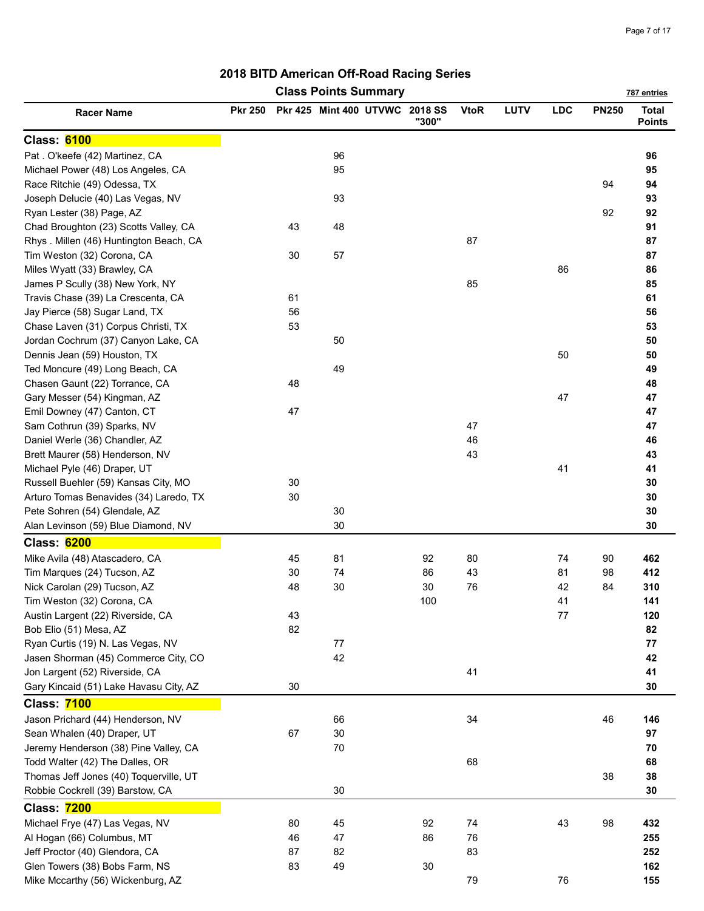|                                        |                |    | <b>Class Points Summary</b>    |        |             |      |            |              | 787 entries                   |
|----------------------------------------|----------------|----|--------------------------------|--------|-------------|------|------------|--------------|-------------------------------|
| <b>Racer Name</b>                      | <b>Pkr 250</b> |    | Pkr 425 Mint 400 UTVWC 2018 SS | "300"  | <b>VtoR</b> | LUTV | <b>LDC</b> | <b>PN250</b> | <b>Total</b><br><b>Points</b> |
| <b>Class: 6100</b>                     |                |    |                                |        |             |      |            |              |                               |
| Pat. O'keefe (42) Martinez, CA         |                |    | 96                             |        |             |      |            |              | 96                            |
| Michael Power (48) Los Angeles, CA     |                |    | 95                             |        |             |      |            |              | 95                            |
| Race Ritchie (49) Odessa, TX           |                |    |                                |        |             |      |            | 94           | 94                            |
| Joseph Delucie (40) Las Vegas, NV      |                |    | 93                             |        |             |      |            |              | 93                            |
| Ryan Lester (38) Page, AZ              |                |    |                                |        |             |      |            | 92           | 92                            |
| Chad Broughton (23) Scotts Valley, CA  |                | 43 | 48                             |        |             |      |            |              | 91                            |
| Rhys. Millen (46) Huntington Beach, CA |                |    |                                |        | 87          |      |            |              | 87                            |
| Tim Weston (32) Corona, CA             |                | 30 | 57                             |        |             |      |            |              | 87                            |
| Miles Wyatt (33) Brawley, CA           |                |    |                                |        |             |      | 86         |              | 86                            |
| James P Scully (38) New York, NY       |                |    |                                |        | 85          |      |            |              | 85                            |
| Travis Chase (39) La Crescenta, CA     |                | 61 |                                |        |             |      |            |              | 61                            |
| Jay Pierce (58) Sugar Land, TX         |                | 56 |                                |        |             |      |            |              | 56                            |
| Chase Laven (31) Corpus Christi, TX    |                | 53 |                                |        |             |      |            |              | 53                            |
| Jordan Cochrum (37) Canyon Lake, CA    |                |    | 50                             |        |             |      |            |              | 50                            |
| Dennis Jean (59) Houston, TX           |                |    |                                |        |             |      | 50         |              | 50                            |
| Ted Moncure (49) Long Beach, CA        |                |    | 49                             |        |             |      |            |              | 49                            |
| Chasen Gaunt (22) Torrance, CA         |                | 48 |                                |        |             |      |            |              | 48                            |
| Gary Messer (54) Kingman, AZ           |                |    |                                |        |             |      | 47         |              | 47                            |
| Emil Downey (47) Canton, CT            |                | 47 |                                |        |             |      |            |              | 47                            |
| Sam Cothrun (39) Sparks, NV            |                |    |                                |        | 47          |      |            |              | 47                            |
| Daniel Werle (36) Chandler, AZ         |                |    |                                |        | 46          |      |            |              | 46                            |
| Brett Maurer (58) Henderson, NV        |                |    |                                |        | 43          |      |            |              | 43                            |
| Michael Pyle (46) Draper, UT           |                |    |                                |        |             |      | 41         |              | 41                            |
| Russell Buehler (59) Kansas City, MO   |                | 30 |                                |        |             |      |            |              | 30                            |
| Arturo Tomas Benavides (34) Laredo, TX |                | 30 |                                |        |             |      |            |              | 30                            |
| Pete Sohren (54) Glendale, AZ          |                |    | 30                             |        |             |      |            |              | 30                            |
| Alan Levinson (59) Blue Diamond, NV    |                |    | 30                             |        |             |      |            |              | 30                            |
| <b>Class: 6200</b>                     |                |    |                                |        |             |      |            |              |                               |
| Mike Avila (48) Atascadero, CA         |                | 45 | 81                             | 92     | 80          |      | 74         | 90           | 462                           |
| Tim Marques (24) Tucson, AZ            |                | 30 | 74                             | 86     | 43          |      | 81         | 98           | 412                           |
| Nick Carolan (29) Tucson, AZ           |                | 48 | 30                             | 30     | 76          |      | 42         | 84           | 310                           |
| Tim Weston (32) Corona, CA             |                |    |                                | 100    |             |      | 41         |              | 141                           |
| Austin Largent (22) Riverside, CA      |                | 43 |                                |        |             |      | 77         |              | 120                           |
| Bob Elio (51) Mesa, AZ                 |                | 82 |                                |        |             |      |            |              | 82                            |
| Ryan Curtis (19) N. Las Vegas, NV      |                |    | 77                             |        |             |      |            |              | 77                            |
| Jasen Shorman (45) Commerce City, CO   |                |    | 42                             |        |             |      |            |              | 42                            |
| Jon Largent (52) Riverside, CA         |                |    |                                |        | 41          |      |            |              | 41                            |
| Gary Kincaid (51) Lake Havasu City, AZ |                | 30 |                                |        |             |      |            |              | 30                            |
| <b>Class: 7100</b>                     |                |    |                                |        |             |      |            |              |                               |
| Jason Prichard (44) Henderson, NV      |                |    | 66                             |        | 34          |      |            | 46           | 146                           |
| Sean Whalen (40) Draper, UT            |                | 67 | 30                             |        |             |      |            |              | 97                            |
| Jeremy Henderson (38) Pine Valley, CA  |                |    | 70                             |        |             |      |            |              | 70                            |
| Todd Walter (42) The Dalles, OR        |                |    |                                |        | 68          |      |            |              | 68                            |
| Thomas Jeff Jones (40) Toquerville, UT |                |    |                                |        |             |      |            | 38           | 38                            |
| Robbie Cockrell (39) Barstow, CA       |                |    | 30                             |        |             |      |            |              | 30                            |
| <b>Class: 7200</b>                     |                |    |                                |        |             |      |            |              |                               |
| Michael Frye (47) Las Vegas, NV        |                | 80 | 45                             | 92     | 74          |      | 43         | 98           | 432                           |
| Al Hogan (66) Columbus, MT             |                | 46 | 47                             | 86     | 76          |      |            |              | 255                           |
| Jeff Proctor (40) Glendora, CA         |                | 87 | 82                             |        | 83          |      |            |              | 252                           |
| Glen Towers (38) Bobs Farm, NS         |                | 83 | 49                             | $30\,$ |             |      |            |              | 162                           |
| Mike Mccarthy (56) Wickenburg, AZ      |                |    |                                |        | 79          |      | 76         |              | 155                           |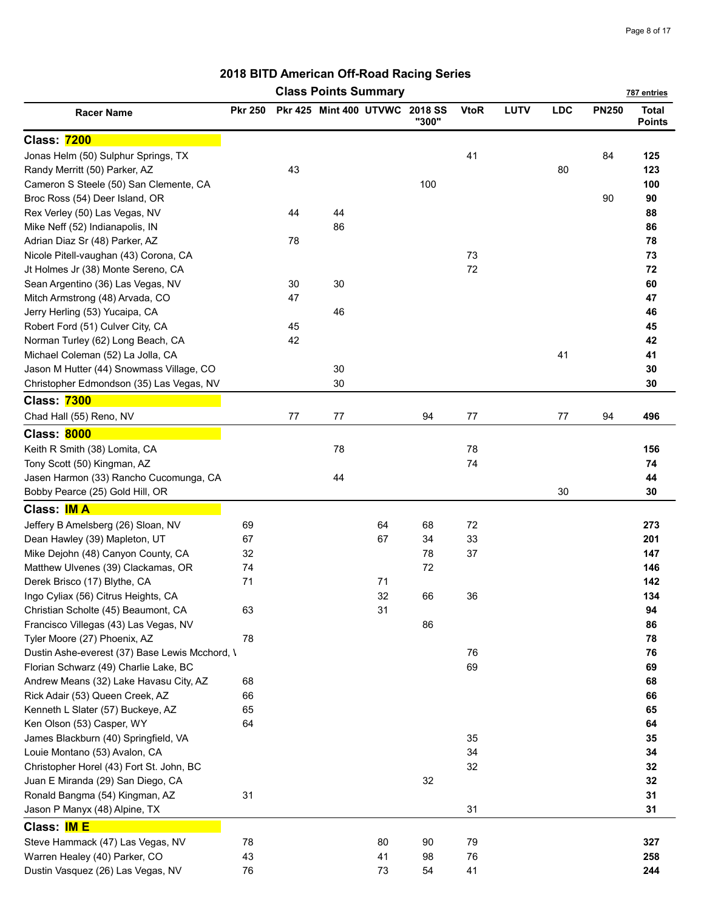|                                                |                |    | <b>Class Points Summary</b>    |    |       |             |      |            |              | 787 entries                   |
|------------------------------------------------|----------------|----|--------------------------------|----|-------|-------------|------|------------|--------------|-------------------------------|
| <b>Racer Name</b>                              | <b>Pkr 250</b> |    | Pkr 425 Mint 400 UTVWC 2018 SS |    | "300" | <b>VtoR</b> | LUTV | <b>LDC</b> | <b>PN250</b> | <b>Total</b><br><b>Points</b> |
| <b>Class: 7200</b>                             |                |    |                                |    |       |             |      |            |              |                               |
| Jonas Helm (50) Sulphur Springs, TX            |                |    |                                |    |       | 41          |      |            | 84           | 125                           |
| Randy Merritt (50) Parker, AZ                  |                | 43 |                                |    |       |             |      | 80         |              | 123                           |
| Cameron S Steele (50) San Clemente, CA         |                |    |                                |    | 100   |             |      |            |              | 100                           |
| Broc Ross (54) Deer Island, OR                 |                |    |                                |    |       |             |      |            | 90           | 90                            |
| Rex Verley (50) Las Vegas, NV                  |                | 44 | 44                             |    |       |             |      |            |              | 88                            |
| Mike Neff (52) Indianapolis, IN                |                |    | 86                             |    |       |             |      |            |              | 86                            |
| Adrian Diaz Sr (48) Parker, AZ                 |                | 78 |                                |    |       |             |      |            |              | 78                            |
| Nicole Pitell-vaughan (43) Corona, CA          |                |    |                                |    |       | 73          |      |            |              | 73                            |
| Jt Holmes Jr (38) Monte Sereno, CA             |                |    |                                |    |       | 72          |      |            |              | 72                            |
| Sean Argentino (36) Las Vegas, NV              |                | 30 | 30                             |    |       |             |      |            |              | 60                            |
| Mitch Armstrong (48) Arvada, CO                |                | 47 |                                |    |       |             |      |            |              | 47                            |
| Jerry Herling (53) Yucaipa, CA                 |                |    | 46                             |    |       |             |      |            |              | 46                            |
| Robert Ford (51) Culver City, CA               |                | 45 |                                |    |       |             |      |            |              | 45                            |
| Norman Turley (62) Long Beach, CA              |                | 42 |                                |    |       |             |      |            |              | 42                            |
| Michael Coleman (52) La Jolla, CA              |                |    |                                |    |       |             |      | 41         |              | 41                            |
| Jason M Hutter (44) Snowmass Village, CO       |                |    | 30                             |    |       |             |      |            |              | 30                            |
| Christopher Edmondson (35) Las Vegas, NV       |                |    | 30                             |    |       |             |      |            |              | 30                            |
| <b>Class: 7300</b>                             |                |    |                                |    |       |             |      |            |              |                               |
| Chad Hall (55) Reno, NV                        |                | 77 | 77                             |    | 94    | 77          |      | 77         | 94           | 496                           |
| <b>Class: 8000</b>                             |                |    |                                |    |       |             |      |            |              |                               |
| Keith R Smith (38) Lomita, CA                  |                |    | 78                             |    |       | 78          |      |            |              | 156                           |
| Tony Scott (50) Kingman, AZ                    |                |    |                                |    |       | 74          |      |            |              | 74                            |
| Jasen Harmon (33) Rancho Cucomunga, CA         |                |    | 44                             |    |       |             |      |            |              | 44                            |
| Bobby Pearce (25) Gold Hill, OR                |                |    |                                |    |       |             |      | 30         |              | 30                            |
| Class: <b>IMA</b>                              |                |    |                                |    |       |             |      |            |              |                               |
| Jeffery B Amelsberg (26) Sloan, NV             | 69             |    |                                | 64 | 68    | 72          |      |            |              | 273                           |
| Dean Hawley (39) Mapleton, UT                  | 67             |    |                                | 67 | 34    | 33          |      |            |              | 201                           |
| Mike Dejohn (48) Canyon County, CA             | 32             |    |                                |    | 78    | 37          |      |            |              | 147                           |
| Matthew Ulvenes (39) Clackamas, OR             | 74             |    |                                |    | 72    |             |      |            |              | 146                           |
| Derek Brisco (17) Blythe, CA                   | 71             |    |                                | 71 |       |             |      |            |              | 142                           |
| Ingo Cyliax (56) Citrus Heights, CA            |                |    |                                | 32 | 66    | 36          |      |            |              | 134                           |
| Christian Scholte (45) Beaumont, CA            | 63             |    |                                | 31 |       |             |      |            |              | 94                            |
| Francisco Villegas (43) Las Vegas, NV          |                |    |                                |    | 86    |             |      |            |              | 86                            |
| Tyler Moore (27) Phoenix, AZ                   | 78             |    |                                |    |       |             |      |            |              | 78                            |
| Dustin Ashe-everest (37) Base Lewis Mcchord, \ |                |    |                                |    |       | 76          |      |            |              | 76                            |
| Florian Schwarz (49) Charlie Lake, BC          |                |    |                                |    |       | 69          |      |            |              | 69                            |
| Andrew Means (32) Lake Havasu City, AZ         | 68             |    |                                |    |       |             |      |            |              | 68                            |
| Rick Adair (53) Queen Creek, AZ                | 66             |    |                                |    |       |             |      |            |              | 66                            |
| Kenneth L Slater (57) Buckeye, AZ              | 65             |    |                                |    |       |             |      |            |              | 65                            |
| Ken Olson (53) Casper, WY                      | 64             |    |                                |    |       |             |      |            |              | 64                            |
| James Blackburn (40) Springfield, VA           |                |    |                                |    |       | 35          |      |            |              | 35                            |
| Louie Montano (53) Avalon, CA                  |                |    |                                |    |       | 34          |      |            |              | 34                            |
| Christopher Horel (43) Fort St. John, BC       |                |    |                                |    |       | 32          |      |            |              | 32                            |
| Juan E Miranda (29) San Diego, CA              |                |    |                                |    | 32    |             |      |            |              | 32                            |
| Ronald Bangma (54) Kingman, AZ                 | 31             |    |                                |    |       |             |      |            |              | 31                            |
| Jason P Manyx (48) Alpine, TX                  |                |    |                                |    |       | 31          |      |            |              | 31                            |
| Class: <b>IM E</b>                             |                |    |                                |    |       |             |      |            |              |                               |
| Steve Hammack (47) Las Vegas, NV               | 78             |    |                                | 80 | 90    | 79          |      |            |              | 327                           |
| Warren Healey (40) Parker, CO                  | 43             |    |                                | 41 | 98    | 76          |      |            |              | 258                           |
| Dustin Vasquez (26) Las Vegas, NV              | 76             |    |                                | 73 | 54    | 41          |      |            |              | 244                           |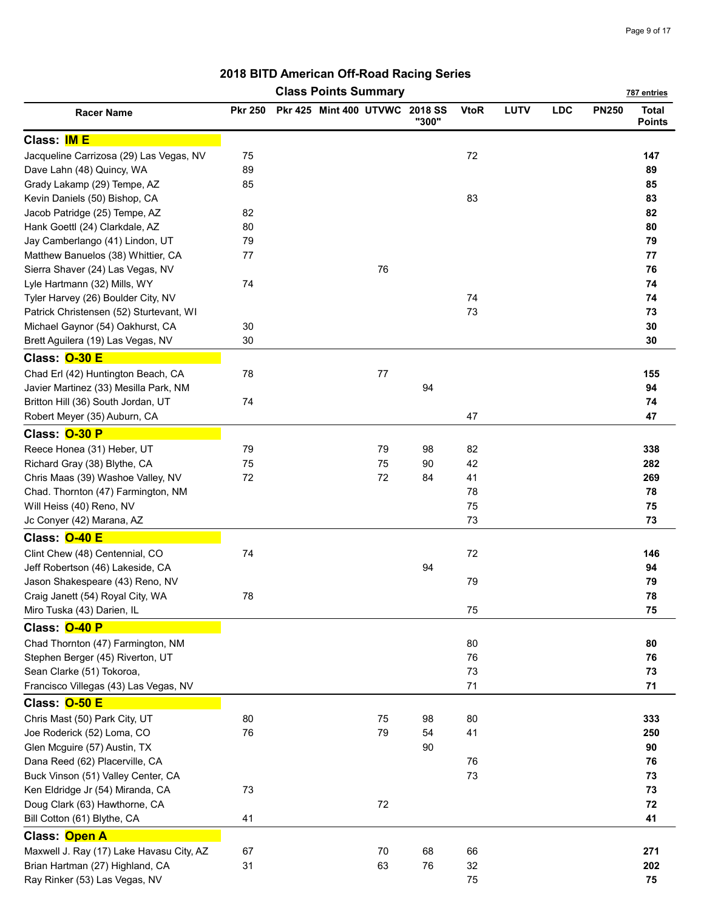|                                          |                | <b>Class Points Summary</b>    |         |       |             |             |            |              | 787 entries                   |
|------------------------------------------|----------------|--------------------------------|---------|-------|-------------|-------------|------------|--------------|-------------------------------|
| <b>Racer Name</b>                        | <b>Pkr 250</b> | Pkr 425 Mint 400 UTVWC 2018 SS |         | "300" | <b>VtoR</b> | <b>LUTV</b> | <b>LDC</b> | <b>PN250</b> | <b>Total</b><br><b>Points</b> |
| Class: <b>IM E</b>                       |                |                                |         |       |             |             |            |              |                               |
| Jacqueline Carrizosa (29) Las Vegas, NV  | 75             |                                |         |       | 72          |             |            |              | 147                           |
| Dave Lahn (48) Quincy, WA                | 89             |                                |         |       |             |             |            |              | 89                            |
| Grady Lakamp (29) Tempe, AZ              | 85             |                                |         |       |             |             |            |              | 85                            |
| Kevin Daniels (50) Bishop, CA            |                |                                |         |       | 83          |             |            |              | 83                            |
| Jacob Patridge (25) Tempe, AZ            | 82             |                                |         |       |             |             |            |              | 82                            |
| Hank Goettl (24) Clarkdale, AZ           | 80             |                                |         |       |             |             |            |              | 80                            |
| Jay Camberlango (41) Lindon, UT          | 79             |                                |         |       |             |             |            |              | 79                            |
| Matthew Banuelos (38) Whittier, CA       | 77             |                                |         |       |             |             |            |              | 77                            |
| Sierra Shaver (24) Las Vegas, NV         |                |                                | 76      |       |             |             |            |              | 76                            |
| Lyle Hartmann (32) Mills, WY             | 74             |                                |         |       |             |             |            |              | 74                            |
| Tyler Harvey (26) Boulder City, NV       |                |                                |         |       | 74          |             |            |              | 74                            |
| Patrick Christensen (52) Sturtevant, WI  |                |                                |         |       | 73          |             |            |              | 73                            |
| Michael Gaynor (54) Oakhurst, CA         | 30             |                                |         |       |             |             |            |              | 30                            |
| Brett Aguilera (19) Las Vegas, NV        | 30             |                                |         |       |             |             |            |              | 30                            |
| Class: O-30 E                            |                |                                |         |       |             |             |            |              |                               |
| Chad Erl (42) Huntington Beach, CA       | 78             |                                | $77 \,$ |       |             |             |            |              | 155                           |
| Javier Martinez (33) Mesilla Park, NM    |                |                                |         | 94    |             |             |            |              | 94                            |
| Britton Hill (36) South Jordan, UT       | 74             |                                |         |       |             |             |            |              | 74                            |
| Robert Meyer (35) Auburn, CA             |                |                                |         |       | 47          |             |            |              | 47                            |
| Class: O-30 P                            |                |                                |         |       |             |             |            |              |                               |
| Reece Honea (31) Heber, UT               | 79             |                                | 79      | 98    | 82          |             |            |              | 338                           |
| Richard Gray (38) Blythe, CA             | 75             |                                | 75      | 90    | 42          |             |            |              | 282                           |
| Chris Maas (39) Washoe Valley, NV        | 72             |                                | 72      | 84    | 41          |             |            |              | 269                           |
| Chad. Thornton (47) Farmington, NM       |                |                                |         |       | 78          |             |            |              | 78                            |
| Will Heiss (40) Reno, NV                 |                |                                |         |       | 75          |             |            |              | 75                            |
| Jc Conyer (42) Marana, AZ                |                |                                |         |       | 73          |             |            |              | 73                            |
| Class: 0-40 E                            |                |                                |         |       |             |             |            |              |                               |
| Clint Chew (48) Centennial, CO           | 74             |                                |         |       | 72          |             |            |              | 146                           |
| Jeff Robertson (46) Lakeside, CA         |                |                                |         | 94    |             |             |            |              | 94                            |
| Jason Shakespeare (43) Reno, NV          |                |                                |         |       | 79          |             |            |              | 79                            |
| Craig Janett (54) Royal City, WA         | 78             |                                |         |       |             |             |            |              | 78                            |
| Miro Tuska (43) Darien, IL               |                |                                |         |       | 75          |             |            |              | 75                            |
| Class: O-40 P                            |                |                                |         |       |             |             |            |              |                               |
| Chad Thornton (47) Farmington, NM        |                |                                |         |       | 80          |             |            |              | 80                            |
| Stephen Berger (45) Riverton, UT         |                |                                |         |       | 76          |             |            |              | 76                            |
| Sean Clarke (51) Tokoroa,                |                |                                |         |       | 73          |             |            |              | 73                            |
| Francisco Villegas (43) Las Vegas, NV    |                |                                |         |       | 71          |             |            |              | 71                            |
| Class: O-50 E                            |                |                                |         |       |             |             |            |              |                               |
| Chris Mast (50) Park City, UT            | 80             |                                | 75      | 98    | 80          |             |            |              | 333                           |
| Joe Roderick (52) Loma, CO               | 76             |                                | 79      | 54    | 41          |             |            |              | 250                           |
| Glen Mcguire (57) Austin, TX             |                |                                |         | 90    |             |             |            |              | 90                            |
| Dana Reed (62) Placerville, CA           |                |                                |         |       | 76          |             |            |              | 76                            |
| Buck Vinson (51) Valley Center, CA       |                |                                |         |       | 73          |             |            |              | 73                            |
| Ken Eldridge Jr (54) Miranda, CA         | 73             |                                |         |       |             |             |            |              | 73                            |
| Doug Clark (63) Hawthorne, CA            |                |                                | $72\,$  |       |             |             |            |              | 72                            |
| Bill Cotton (61) Blythe, CA              | 41             |                                |         |       |             |             |            |              | 41                            |
| Class: Open A                            |                |                                |         |       |             |             |            |              |                               |
| Maxwell J. Ray (17) Lake Havasu City, AZ | 67             |                                | 70      | 68    | 66          |             |            |              | 271                           |
| Brian Hartman (27) Highland, CA          | 31             |                                | 63      | 76    | 32          |             |            |              | 202                           |
| Ray Rinker (53) Las Vegas, NV            |                |                                |         |       | 75          |             |            |              | 75                            |
|                                          |                |                                |         |       |             |             |            |              |                               |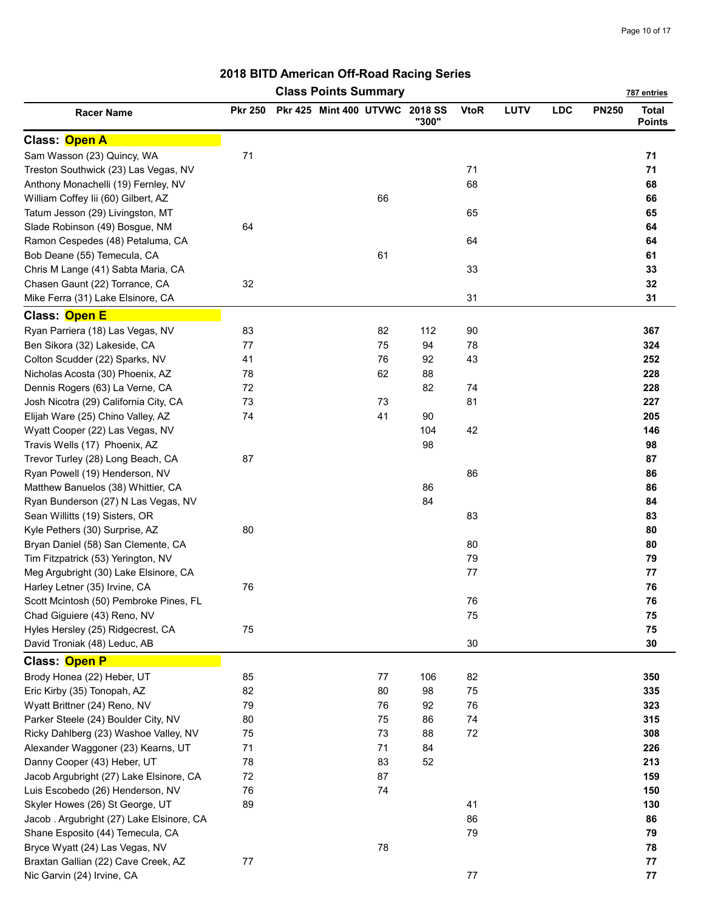|                                           |                | <b>Class Points Summary</b>    |    |       |             |      |            |              | 787 entries                   |
|-------------------------------------------|----------------|--------------------------------|----|-------|-------------|------|------------|--------------|-------------------------------|
| <b>Racer Name</b>                         | <b>Pkr 250</b> | Pkr 425 Mint 400 UTVWC 2018 SS |    | "300" | <b>VtoR</b> | LUTV | <b>LDC</b> | <b>PN250</b> | <b>Total</b><br><b>Points</b> |
| Class: Open A                             |                |                                |    |       |             |      |            |              |                               |
| Sam Wasson (23) Quincy, WA                | 71             |                                |    |       |             |      |            |              | 71                            |
| Treston Southwick (23) Las Vegas, NV      |                |                                |    |       | 71          |      |            |              | 71                            |
| Anthony Monachelli (19) Fernley, NV       |                |                                |    |       | 68          |      |            |              | 68                            |
| William Coffey lii (60) Gilbert, AZ       |                |                                | 66 |       |             |      |            |              | 66                            |
| Tatum Jesson (29) Livingston, MT          |                |                                |    |       | 65          |      |            |              | 65                            |
| Slade Robinson (49) Bosgue, NM            | 64             |                                |    |       |             |      |            |              | 64                            |
| Ramon Cespedes (48) Petaluma, CA          |                |                                |    |       | 64          |      |            |              | 64                            |
| Bob Deane (55) Temecula, CA               |                |                                | 61 |       |             |      |            |              | 61                            |
| Chris M Lange (41) Sabta Maria, CA        |                |                                |    |       | 33          |      |            |              | 33                            |
| Chasen Gaunt (22) Torrance, CA            | 32             |                                |    |       |             |      |            |              | 32                            |
| Mike Ferra (31) Lake Elsinore, CA         |                |                                |    |       | 31          |      |            |              | 31                            |
| Class: Open E                             |                |                                |    |       |             |      |            |              |                               |
| Ryan Parriera (18) Las Vegas, NV          | 83             |                                | 82 | 112   | 90          |      |            |              | 367                           |
| Ben Sikora (32) Lakeside, CA              | 77             |                                | 75 | 94    | 78          |      |            |              | 324                           |
| Colton Scudder (22) Sparks, NV            | 41             |                                | 76 | 92    | 43          |      |            |              | 252                           |
| Nicholas Acosta (30) Phoenix, AZ          | 78             |                                | 62 | 88    |             |      |            |              | 228                           |
| Dennis Rogers (63) La Verne, CA           | 72             |                                |    | 82    | 74          |      |            |              | 228                           |
| Josh Nicotra (29) California City, CA     | 73             |                                | 73 |       | 81          |      |            |              | 227                           |
| Elijah Ware (25) Chino Valley, AZ         | 74             |                                | 41 | 90    |             |      |            |              | 205                           |
| Wyatt Cooper (22) Las Vegas, NV           |                |                                |    | 104   | 42          |      |            |              | 146                           |
| Travis Wells (17) Phoenix, AZ             |                |                                |    | 98    |             |      |            |              | 98                            |
| Trevor Turley (28) Long Beach, CA         | 87             |                                |    |       |             |      |            |              | 87                            |
| Ryan Powell (19) Henderson, NV            |                |                                |    |       | 86          |      |            |              | 86                            |
| Matthew Banuelos (38) Whittier, CA        |                |                                |    | 86    |             |      |            |              | 86                            |
| Ryan Bunderson (27) N Las Vegas, NV       |                |                                |    | 84    |             |      |            |              | 84                            |
| Sean Willitts (19) Sisters, OR            |                |                                |    |       | 83          |      |            |              | 83                            |
| Kyle Pethers (30) Surprise, AZ            | 80             |                                |    |       |             |      |            |              | 80                            |
| Bryan Daniel (58) San Clemente, CA        |                |                                |    |       | 80          |      |            |              | 80                            |
| Tim Fitzpatrick (53) Yerington, NV        |                |                                |    |       | 79          |      |            |              | 79                            |
| Meg Argubright (30) Lake Elsinore, CA     |                |                                |    |       | 77          |      |            |              | ${\bf 77}$                    |
| Harley Letner (35) Irvine, CA             | 76             |                                |    |       |             |      |            |              | 76                            |
| Scott Mcintosh (50) Pembroke Pines, FL    |                |                                |    |       | 76          |      |            |              | 76                            |
| Chad Giguiere (43) Reno, NV               |                |                                |    |       | 75          |      |            |              | 75                            |
| Hyles Hersley (25) Ridgecrest, CA         | 75             |                                |    |       |             |      |            |              | 75                            |
| David Troniak (48) Leduc, AB              |                |                                |    |       | 30          |      |            |              | 30                            |
| Class: Open P                             |                |                                |    |       |             |      |            |              |                               |
| Brody Honea (22) Heber, UT                | 85             |                                | 77 | 106   | 82          |      |            |              | 350                           |
| Eric Kirby (35) Tonopah, AZ               | 82             |                                | 80 | 98    | 75          |      |            |              | 335                           |
| Wyatt Brittner (24) Reno, NV              | 79             |                                | 76 | 92    | 76          |      |            |              | 323                           |
| Parker Steele (24) Boulder City, NV       | 80             |                                | 75 | 86    | 74          |      |            |              | 315                           |
| Ricky Dahlberg (23) Washoe Valley, NV     | 75             |                                | 73 | 88    | 72          |      |            |              | 308                           |
| Alexander Waggoner (23) Kearns, UT        | 71             |                                | 71 | 84    |             |      |            |              | 226                           |
| Danny Cooper (43) Heber, UT               | 78             |                                | 83 | 52    |             |      |            |              | 213                           |
| Jacob Argubright (27) Lake Elsinore, CA   | 72             |                                | 87 |       |             |      |            |              | 159                           |
| Luis Escobedo (26) Henderson, NV          | 76             |                                | 74 |       |             |      |            |              | 150                           |
| Skyler Howes (26) St George, UT           | 89             |                                |    |       | 41          |      |            |              | 130                           |
| Jacob . Argubright (27) Lake Elsinore, CA |                |                                |    |       | 86          |      |            |              | 86                            |
| Shane Esposito (44) Temecula, CA          |                |                                |    |       | 79          |      |            |              | 79                            |
| Bryce Wyatt (24) Las Vegas, NV            |                |                                | 78 |       |             |      |            |              | 78                            |
| Braxtan Gallian (22) Cave Creek, AZ       | $77 \,$        |                                |    |       |             |      |            |              | ${\bf 77}$                    |
| Nic Garvin (24) Irvine, CA                |                |                                |    |       | $77 \,$     |      |            |              | ${\bf 77}$                    |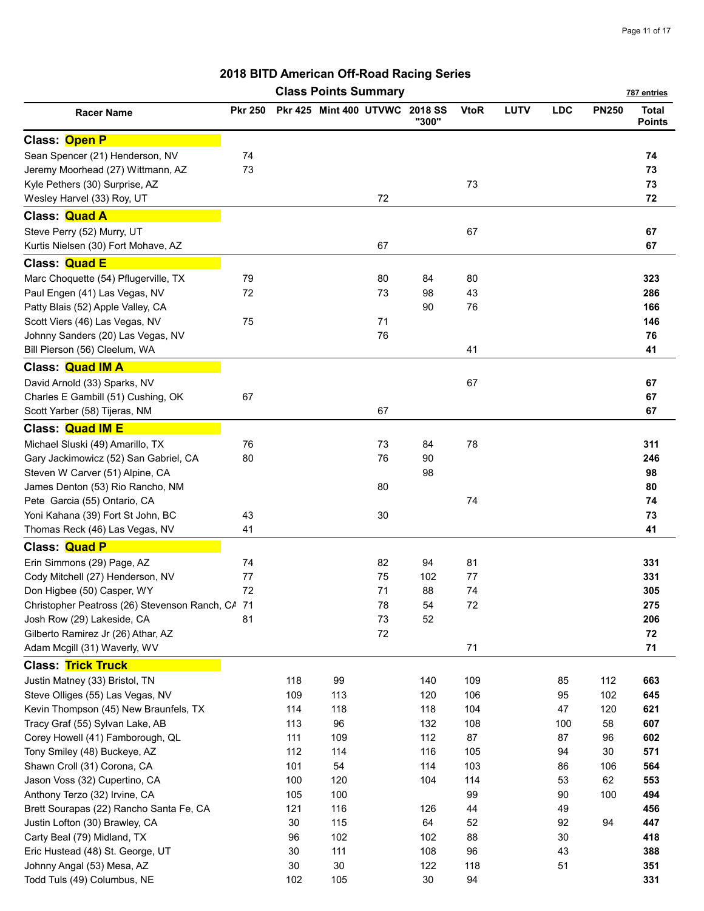|                                                  |                |     | <b>Class Points Summary</b>    |        |       |             |             |            |              | 787 entries                   |
|--------------------------------------------------|----------------|-----|--------------------------------|--------|-------|-------------|-------------|------------|--------------|-------------------------------|
| <b>Racer Name</b>                                | <b>Pkr 250</b> |     | Pkr 425 Mint 400 UTVWC 2018 SS |        | "300" | <b>VtoR</b> | <b>LUTV</b> | <b>LDC</b> | <b>PN250</b> | <b>Total</b><br><b>Points</b> |
| Class: Open P                                    |                |     |                                |        |       |             |             |            |              |                               |
| Sean Spencer (21) Henderson, NV                  | 74             |     |                                |        |       |             |             |            |              | 74                            |
| Jeremy Moorhead (27) Wittmann, AZ                | 73             |     |                                |        |       |             |             |            |              | 73                            |
| Kyle Pethers (30) Surprise, AZ                   |                |     |                                |        |       | 73          |             |            |              | 73                            |
| Wesley Harvel (33) Roy, UT                       |                |     |                                | 72     |       |             |             |            |              | 72                            |
| Class: Quad A                                    |                |     |                                |        |       |             |             |            |              |                               |
| Steve Perry (52) Murry, UT                       |                |     |                                |        |       | 67          |             |            |              | 67                            |
| Kurtis Nielsen (30) Fort Mohave, AZ              |                |     |                                | 67     |       |             |             |            |              | 67                            |
| Class: Quad E                                    |                |     |                                |        |       |             |             |            |              |                               |
| Marc Choquette (54) Pflugerville, TX             | 79             |     |                                | 80     | 84    | 80          |             |            |              | 323                           |
| Paul Engen (41) Las Vegas, NV                    | 72             |     |                                | 73     | 98    | 43          |             |            |              | 286                           |
| Patty Blais (52) Apple Valley, CA                |                |     |                                |        | 90    | 76          |             |            |              | 166                           |
| Scott Viers (46) Las Vegas, NV                   | 75             |     |                                | 71     |       |             |             |            |              | 146                           |
| Johnny Sanders (20) Las Vegas, NV                |                |     |                                | 76     |       |             |             |            |              | 76                            |
| Bill Pierson (56) Cleelum, WA                    |                |     |                                |        |       | 41          |             |            |              | 41                            |
| <b>Class: Quad IM A</b>                          |                |     |                                |        |       |             |             |            |              |                               |
| David Arnold (33) Sparks, NV                     |                |     |                                |        |       | 67          |             |            |              | 67                            |
| Charles E Gambill (51) Cushing, OK               | 67             |     |                                |        |       |             |             |            |              | 67                            |
| Scott Yarber (58) Tijeras, NM                    |                |     |                                | 67     |       |             |             |            |              | 67                            |
| <b>Class: Quad IM E</b>                          |                |     |                                |        |       |             |             |            |              |                               |
| Michael Sluski (49) Amarillo, TX                 | 76             |     |                                | 73     | 84    | 78          |             |            |              | 311                           |
| Gary Jackimowicz (52) San Gabriel, CA            | 80             |     |                                | 76     | 90    |             |             |            |              | 246                           |
| Steven W Carver (51) Alpine, CA                  |                |     |                                |        | 98    |             |             |            |              | 98                            |
| James Denton (53) Rio Rancho, NM                 |                |     |                                | 80     |       |             |             |            |              | 80                            |
| Pete Garcia (55) Ontario, CA                     |                |     |                                |        |       | 74          |             |            |              | 74                            |
| Yoni Kahana (39) Fort St John, BC                | 43             |     |                                | 30     |       |             |             |            |              | 73                            |
| Thomas Reck (46) Las Vegas, NV                   | 41             |     |                                |        |       |             |             |            |              | 41                            |
| Class: Quad P                                    |                |     |                                |        |       |             |             |            |              |                               |
| Erin Simmons (29) Page, AZ                       | 74             |     |                                | 82     | 94    | 81          |             |            |              | 331                           |
| Cody Mitchell (27) Henderson, NV                 | 77             |     |                                | 75     | 102   | 77          |             |            |              | 331                           |
| Don Higbee (50) Casper, WY                       | 72             |     |                                | 71     | 88    | 74          |             |            |              | 305                           |
| Christopher Peatross (26) Stevenson Ranch, CA 71 |                |     |                                | 78     | 54    | $72\,$      |             |            |              | 275                           |
| Josh Row (29) Lakeside, CA                       | 81             |     |                                | $73\,$ | 52    |             |             |            |              | 206                           |
| Gilberto Ramirez Jr (26) Athar, AZ               |                |     |                                | 72     |       |             |             |            |              | 72                            |
| Adam Mcgill (31) Waverly, WV                     |                |     |                                |        |       | 71          |             |            |              | $71$                          |
| <b>Class: Trick Truck</b>                        |                |     |                                |        |       |             |             |            |              |                               |
| Justin Matney (33) Bristol, TN                   |                | 118 | 99                             |        | 140   | 109         |             | 85         | 112          | 663                           |
| Steve Olliges (55) Las Vegas, NV                 |                | 109 | 113                            |        | 120   | 106         |             | 95         | 102          | 645                           |
| Kevin Thompson (45) New Braunfels, TX            |                | 114 | 118                            |        | 118   | 104         |             | 47         | 120          | 621                           |
| Tracy Graf (55) Sylvan Lake, AB                  |                | 113 | 96                             |        | 132   | 108         |             | 100        | 58           | 607                           |
| Corey Howell (41) Famborough, QL                 |                | 111 | 109                            |        | 112   | 87          |             | 87         | 96           | 602                           |
| Tony Smiley (48) Buckeye, AZ                     |                | 112 | 114                            |        | 116   | 105         |             | 94         | 30           | 571                           |
| Shawn Croll (31) Corona, CA                      |                | 101 | 54                             |        | 114   | 103         |             | 86         | 106          | 564                           |
| Jason Voss (32) Cupertino, CA                    |                | 100 | 120                            |        | 104   | 114         |             | 53         | 62           | 553                           |
| Anthony Terzo (32) Irvine, CA                    |                | 105 | 100                            |        |       | 99          |             | 90         | 100          | 494                           |
| Brett Sourapas (22) Rancho Santa Fe, CA          |                | 121 | 116                            |        | 126   | 44          |             | 49         |              | 456                           |
| Justin Lofton (30) Brawley, CA                   |                | 30  | 115                            |        | 64    | 52          |             | 92         | 94           | 447                           |
| Carty Beal (79) Midland, TX                      |                | 96  | 102                            |        | 102   | 88          |             | $30\,$     |              | 418                           |
| Eric Hustead (48) St. George, UT                 |                | 30  | 111                            |        | 108   | 96          |             | 43         |              | 388                           |
| Johnny Angal (53) Mesa, AZ                       |                | 30  | $30\,$                         |        | 122   | 118         |             | 51         |              | 351                           |
| Todd Tuls (49) Columbus, NE                      |                | 102 | 105                            |        | 30    | 94          |             |            |              | 331                           |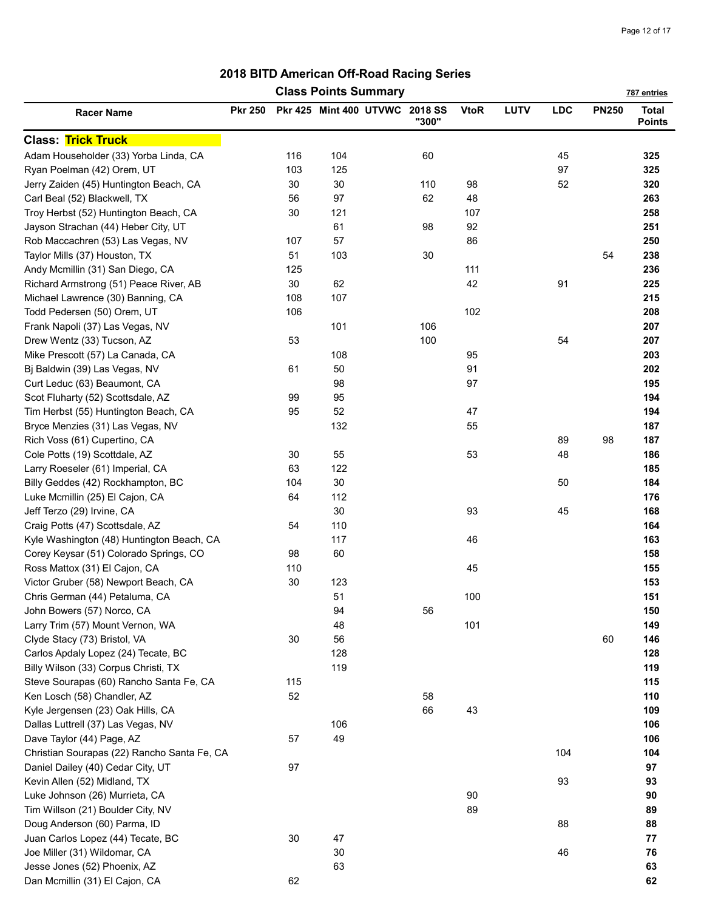|                                             |                |     | <b>Class Points Summary</b>    |       |             |             |            |              | 787 entries                   |
|---------------------------------------------|----------------|-----|--------------------------------|-------|-------------|-------------|------------|--------------|-------------------------------|
| <b>Racer Name</b>                           | <b>Pkr 250</b> |     | Pkr 425 Mint 400 UTVWC 2018 SS | "300" | <b>VtoR</b> | <b>LUTV</b> | <b>LDC</b> | <b>PN250</b> | <b>Total</b><br><b>Points</b> |
| <b>Class: Trick Truck</b>                   |                |     |                                |       |             |             |            |              |                               |
| Adam Householder (33) Yorba Linda, CA       |                | 116 | 104                            | 60    |             |             | 45         |              | 325                           |
| Ryan Poelman (42) Orem, UT                  |                | 103 | 125                            |       |             |             | 97         |              | 325                           |
| Jerry Zaiden (45) Huntington Beach, CA      |                | 30  | 30                             | 110   | 98          |             | 52         |              | 320                           |
| Carl Beal (52) Blackwell, TX                |                | 56  | 97                             | 62    | 48          |             |            |              | 263                           |
| Troy Herbst (52) Huntington Beach, CA       |                | 30  | 121                            |       | 107         |             |            |              | 258                           |
| Jayson Strachan (44) Heber City, UT         |                |     | 61                             | 98    | 92          |             |            |              | 251                           |
| Rob Maccachren (53) Las Vegas, NV           |                | 107 | 57                             |       | 86          |             |            |              | 250                           |
| Taylor Mills (37) Houston, TX               |                | 51  | 103                            | 30    |             |             |            | 54           | 238                           |
| Andy Mcmillin (31) San Diego, CA            |                | 125 |                                |       | 111         |             |            |              | 236                           |
| Richard Armstrong (51) Peace River, AB      |                | 30  | 62                             |       | 42          |             | 91         |              | 225                           |
| Michael Lawrence (30) Banning, CA           |                | 108 | 107                            |       |             |             |            |              | 215                           |
| Todd Pedersen (50) Orem, UT                 |                | 106 |                                |       | 102         |             |            |              | 208                           |
| Frank Napoli (37) Las Vegas, NV             |                |     | 101                            | 106   |             |             |            |              | 207                           |
| Drew Wentz (33) Tucson, AZ                  |                | 53  |                                | 100   |             |             | 54         |              | 207                           |
| Mike Prescott (57) La Canada, CA            |                |     | 108                            |       | 95          |             |            |              | 203                           |
| Bj Baldwin (39) Las Vegas, NV               |                | 61  | 50                             |       | 91          |             |            |              | 202                           |
| Curt Leduc (63) Beaumont, CA                |                |     | 98                             |       | 97          |             |            |              | 195                           |
| Scot Fluharty (52) Scottsdale, AZ           |                | 99  | 95                             |       |             |             |            |              | 194                           |
| Tim Herbst (55) Huntington Beach, CA        |                | 95  | 52                             |       | 47          |             |            |              | 194                           |
| Bryce Menzies (31) Las Vegas, NV            |                |     | 132                            |       | 55          |             |            |              | 187                           |
| Rich Voss (61) Cupertino, CA                |                |     |                                |       |             |             | 89         | 98           | 187                           |
| Cole Potts (19) Scottdale, AZ               |                | 30  | 55                             |       | 53          |             | 48         |              | 186                           |
| Larry Roeseler (61) Imperial, CA            |                | 63  | 122                            |       |             |             |            |              | 185                           |
| Billy Geddes (42) Rockhampton, BC           |                | 104 | 30                             |       |             |             | 50         |              | 184                           |
| Luke Mcmillin (25) El Cajon, CA             |                | 64  | 112                            |       |             |             |            |              | 176                           |
| Jeff Terzo (29) Irvine, CA                  |                |     | $30\,$                         |       | 93          |             | 45         |              | 168                           |
| Craig Potts (47) Scottsdale, AZ             |                | 54  | 110                            |       |             |             |            |              | 164                           |
| Kyle Washington (48) Huntington Beach, CA   |                |     | 117                            |       | 46          |             |            |              | 163                           |
| Corey Keysar (51) Colorado Springs, CO      |                | 98  | 60                             |       |             |             |            |              | 158                           |
| Ross Mattox (31) El Cajon, CA               |                | 110 |                                |       | 45          |             |            |              | 155                           |
| Victor Gruber (58) Newport Beach, CA        |                | 30  | 123                            |       |             |             |            |              | 153                           |
| Chris German (44) Petaluma, CA              |                |     | 51                             |       | 100         |             |            |              | 151                           |
| John Bowers (57) Norco, CA                  |                |     | 94                             | 56    |             |             |            |              | 150                           |
| Larry Trim (57) Mount Vernon, WA            |                |     | 48                             |       | 101         |             |            |              | 149                           |
| Clyde Stacy (73) Bristol, VA                |                | 30  | 56                             |       |             |             |            | 60           | 146                           |
| Carlos Apdaly Lopez (24) Tecate, BC         |                |     | 128                            |       |             |             |            |              | 128                           |
| Billy Wilson (33) Corpus Christi, TX        |                |     | 119                            |       |             |             |            |              | 119                           |
| Steve Sourapas (60) Rancho Santa Fe, CA     |                | 115 |                                |       |             |             |            |              | 115                           |
| Ken Losch (58) Chandler, AZ                 |                | 52  |                                | 58    |             |             |            |              | 110                           |
| Kyle Jergensen (23) Oak Hills, CA           |                |     |                                | 66    | 43          |             |            |              | 109                           |
| Dallas Luttrell (37) Las Vegas, NV          |                |     | 106                            |       |             |             |            |              | 106                           |
| Dave Taylor (44) Page, AZ                   |                | 57  | 49                             |       |             |             |            |              | 106                           |
| Christian Sourapas (22) Rancho Santa Fe, CA |                |     |                                |       |             |             | 104        |              | 104                           |
| Daniel Dailey (40) Cedar City, UT           |                | 97  |                                |       |             |             |            |              | 97                            |
| Kevin Allen (52) Midland, TX                |                |     |                                |       |             |             | 93         |              | 93                            |
| Luke Johnson (26) Murrieta, CA              |                |     |                                |       | 90          |             |            |              | 90                            |
| Tim Willson (21) Boulder City, NV           |                |     |                                |       | 89          |             |            |              | 89                            |
| Doug Anderson (60) Parma, ID                |                |     |                                |       |             |             | 88         |              | 88                            |
| Juan Carlos Lopez (44) Tecate, BC           |                | 30  | 47                             |       |             |             |            |              | 77                            |
| Joe Miller (31) Wildomar, CA                |                |     | $30\,$                         |       |             |             | 46         |              | 76                            |
| Jesse Jones (52) Phoenix, AZ                |                |     | 63                             |       |             |             |            |              | 63                            |
| Dan Mcmillin (31) El Cajon, CA              |                | 62  |                                |       |             |             |            |              | 62                            |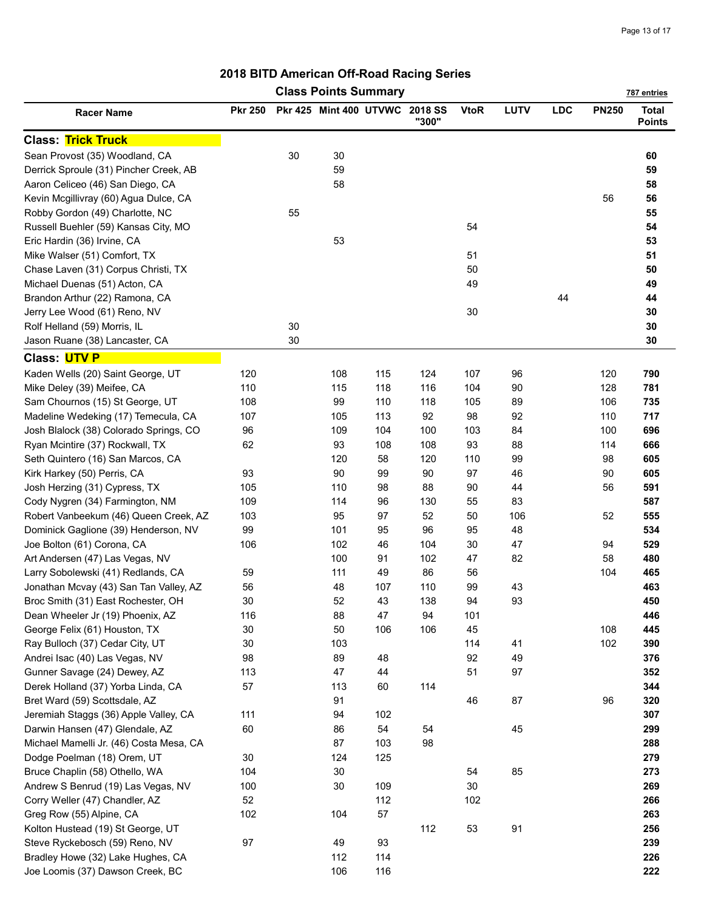| <b>Class Points Summary</b><br>787 entries |                |    |                                |     |       |             |      |            |              |                               |
|--------------------------------------------|----------------|----|--------------------------------|-----|-------|-------------|------|------------|--------------|-------------------------------|
| <b>Racer Name</b>                          | <b>Pkr 250</b> |    | Pkr 425 Mint 400 UTVWC 2018 SS |     | "300" | <b>VtoR</b> | LUTV | <b>LDC</b> | <b>PN250</b> | <b>Total</b><br><b>Points</b> |
| <b>Class: Trick Truck</b>                  |                |    |                                |     |       |             |      |            |              |                               |
| Sean Provost (35) Woodland, CA             |                | 30 | 30                             |     |       |             |      |            |              | 60                            |
| Derrick Sproule (31) Pincher Creek, AB     |                |    | 59                             |     |       |             |      |            |              | 59                            |
| Aaron Celiceo (46) San Diego, CA           |                |    | 58                             |     |       |             |      |            |              | 58                            |
| Kevin Mcgillivray (60) Agua Dulce, CA      |                |    |                                |     |       |             |      |            | 56           | 56                            |
| Robby Gordon (49) Charlotte, NC            |                | 55 |                                |     |       |             |      |            |              | 55                            |
| Russell Buehler (59) Kansas City, MO       |                |    |                                |     |       | 54          |      |            |              | 54                            |
| Eric Hardin (36) Irvine, CA                |                |    | 53                             |     |       |             |      |            |              | 53                            |
| Mike Walser (51) Comfort, TX               |                |    |                                |     |       | 51          |      |            |              | 51                            |
| Chase Laven (31) Corpus Christi, TX        |                |    |                                |     |       | 50          |      |            |              | 50                            |
| Michael Duenas (51) Acton, CA              |                |    |                                |     |       | 49          |      |            |              | 49                            |
| Brandon Arthur (22) Ramona, CA             |                |    |                                |     |       |             |      | 44         |              | 44                            |
| Jerry Lee Wood (61) Reno, NV               |                |    |                                |     |       | 30          |      |            |              | 30                            |
| Rolf Helland (59) Morris, IL               |                | 30 |                                |     |       |             |      |            |              | 30                            |
| Jason Ruane (38) Lancaster, CA             |                | 30 |                                |     |       |             |      |            |              | 30                            |
| Class: UTV P                               |                |    |                                |     |       |             |      |            |              |                               |
| Kaden Wells (20) Saint George, UT          | 120            |    | 108                            | 115 | 124   | 107         | 96   |            | 120          | 790                           |
| Mike Deley (39) Meifee, CA                 | 110            |    | 115                            | 118 | 116   | 104         | 90   |            | 128          | 781                           |
| Sam Chournos (15) St George, UT            | 108            |    | 99                             | 110 | 118   | 105         | 89   |            | 106          | 735                           |
| Madeline Wedeking (17) Temecula, CA        | 107            |    | 105                            | 113 | 92    | 98          | 92   |            | 110          | 717                           |
| Josh Blalock (38) Colorado Springs, CO     | 96             |    | 109                            | 104 | 100   | 103         | 84   |            | 100          | 696                           |
| Ryan Mcintire (37) Rockwall, TX            | 62             |    | 93                             | 108 | 108   | 93          | 88   |            | 114          | 666                           |
| Seth Quintero (16) San Marcos, CA          |                |    | 120                            | 58  | 120   | 110         | 99   |            | 98           | 605                           |
| Kirk Harkey (50) Perris, CA                | 93             |    | 90                             | 99  | 90    | 97          | 46   |            | 90           | 605                           |
| Josh Herzing (31) Cypress, TX              | 105            |    | 110                            | 98  | 88    | 90          | 44   |            | 56           | 591                           |
| Cody Nygren (34) Farmington, NM            | 109            |    | 114                            | 96  | 130   | 55          | 83   |            |              | 587                           |
| Robert Vanbeekum (46) Queen Creek, AZ      | 103            |    | 95                             | 97  | 52    | 50          | 106  |            | 52           | 555                           |
| Dominick Gaglione (39) Henderson, NV       | 99             |    | 101                            | 95  | 96    | 95          | 48   |            |              | 534                           |
| Joe Bolton (61) Corona, CA                 | 106            |    | 102                            | 46  | 104   | 30          | 47   |            | 94           | 529                           |
| Art Andersen (47) Las Vegas, NV            |                |    | 100                            | 91  | 102   | 47          | 82   |            | 58           | 480                           |
| Larry Sobolewski (41) Redlands, CA         | 59             |    | 111                            | 49  | 86    | 56          |      |            | 104          | 465                           |
| Jonathan Mcvay (43) San Tan Valley, AZ     | 56             |    | 48                             | 107 | 110   | 99          | 43   |            |              | 463                           |
| Broc Smith (31) East Rochester, OH         | 30             |    | 52                             | 43  | 138   | 94          | 93   |            |              | 450                           |
| Dean Wheeler Jr (19) Phoenix, AZ           | 116            |    | 88                             | 47  | 94    | 101         |      |            |              | 446                           |
| George Felix (61) Houston, TX              | 30             |    | 50                             | 106 | 106   | 45          |      |            | 108          | 445                           |
| Ray Bulloch (37) Cedar City, UT            | 30             |    | 103                            |     |       | 114         | 41   |            | 102          | 390                           |
| Andrei Isac (40) Las Vegas, NV             | 98             |    | 89                             | 48  |       | 92          | 49   |            |              | 376                           |
| Gunner Savage (24) Dewey, AZ               | 113            |    | 47                             | 44  |       | 51          | 97   |            |              | 352                           |
| Derek Holland (37) Yorba Linda, CA         | 57             |    | 113                            | 60  | 114   |             |      |            |              | 344                           |
| Bret Ward (59) Scottsdale, AZ              |                |    | 91                             |     |       | 46          | 87   |            | 96           | 320                           |
| Jeremiah Staggs (36) Apple Valley, CA      | 111            |    | 94                             | 102 |       |             |      |            |              | 307                           |
| Darwin Hansen (47) Glendale, AZ            | 60             |    | 86                             | 54  | 54    |             | 45   |            |              | 299                           |
| Michael Mamelli Jr. (46) Costa Mesa, CA    |                |    | 87                             | 103 | 98    |             |      |            |              | 288                           |
| Dodge Poelman (18) Orem, UT                | 30             |    | 124                            | 125 |       |             |      |            |              | 279                           |
| Bruce Chaplin (58) Othello, WA             | 104            |    | 30                             |     |       | 54          | 85   |            |              | 273                           |
| Andrew S Benrud (19) Las Vegas, NV         | 100            |    | 30                             | 109 |       | 30          |      |            |              | 269                           |
| Corry Weller (47) Chandler, AZ             | 52             |    |                                | 112 |       | 102         |      |            |              | 266                           |
| Greg Row (55) Alpine, CA                   | 102            |    | 104                            | 57  |       |             |      |            |              | 263                           |
| Kolton Hustead (19) St George, UT          |                |    |                                |     | 112   | 53          | 91   |            |              | 256                           |
| Steve Ryckebosch (59) Reno, NV             | 97             |    | 49                             | 93  |       |             |      |            |              | 239                           |
| Bradley Howe (32) Lake Hughes, CA          |                |    | 112                            | 114 |       |             |      |            |              | 226                           |
| Joe Loomis (37) Dawson Creek, BC           |                |    | 106                            | 116 |       |             |      |            |              | 222                           |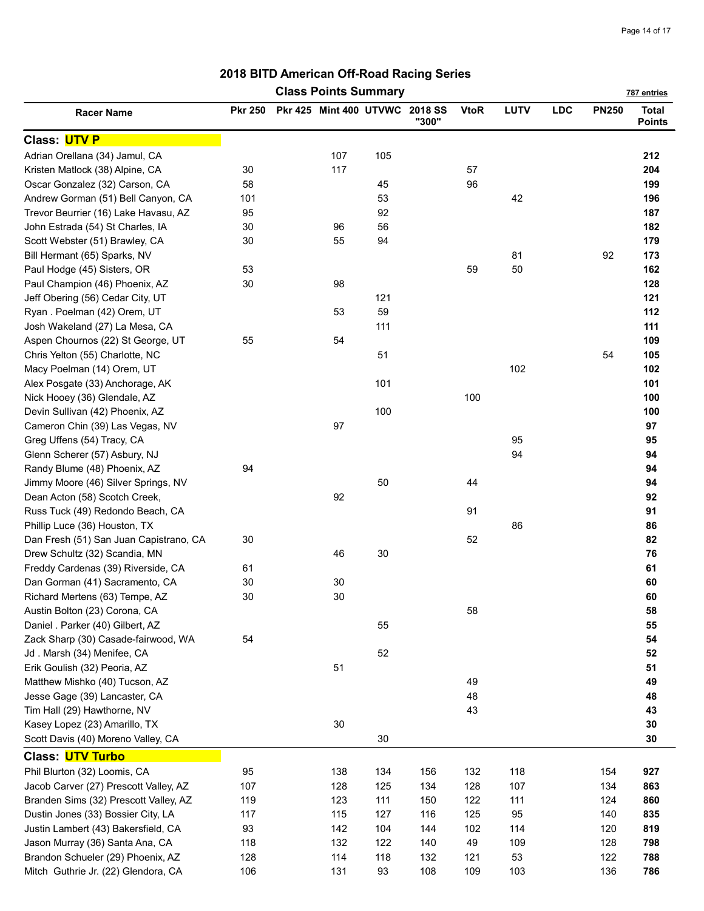| <b>Class Points Summary</b><br>787 entries |                |  |                                |     |       |             |      |            |              |                               |
|--------------------------------------------|----------------|--|--------------------------------|-----|-------|-------------|------|------------|--------------|-------------------------------|
| <b>Racer Name</b>                          | <b>Pkr 250</b> |  | Pkr 425 Mint 400 UTVWC 2018 SS |     | "300" | <b>VtoR</b> | LUTV | <b>LDC</b> | <b>PN250</b> | <b>Total</b><br><b>Points</b> |
| Class: UTV P                               |                |  |                                |     |       |             |      |            |              |                               |
| Adrian Orellana (34) Jamul, CA             |                |  | 107                            | 105 |       |             |      |            |              | 212                           |
| Kristen Matlock (38) Alpine, CA            | 30             |  | 117                            |     |       | 57          |      |            |              | 204                           |
| Oscar Gonzalez (32) Carson, CA             | 58             |  |                                | 45  |       | 96          |      |            |              | 199                           |
| Andrew Gorman (51) Bell Canyon, CA         | 101            |  |                                | 53  |       |             | 42   |            |              | 196                           |
| Trevor Beurrier (16) Lake Havasu, AZ       | 95             |  |                                | 92  |       |             |      |            |              | 187                           |
| John Estrada (54) St Charles, IA           | 30             |  | 96                             | 56  |       |             |      |            |              | 182                           |
| Scott Webster (51) Brawley, CA             | 30             |  | 55                             | 94  |       |             |      |            |              | 179                           |
| Bill Hermant (65) Sparks, NV               |                |  |                                |     |       |             | 81   |            | 92           | 173                           |
| Paul Hodge (45) Sisters, OR                | 53             |  |                                |     |       | 59          | 50   |            |              | 162                           |
| Paul Champion (46) Phoenix, AZ             | 30             |  | 98                             |     |       |             |      |            |              | 128                           |
| Jeff Obering (56) Cedar City, UT           |                |  |                                | 121 |       |             |      |            |              | 121                           |
| Ryan. Poelman (42) Orem, UT                |                |  | 53                             | 59  |       |             |      |            |              | 112                           |
| Josh Wakeland (27) La Mesa, CA             |                |  |                                | 111 |       |             |      |            |              | 111                           |
| Aspen Chournos (22) St George, UT          | 55             |  | 54                             |     |       |             |      |            |              | 109                           |
| Chris Yelton (55) Charlotte, NC            |                |  |                                | 51  |       |             |      |            | 54           | 105                           |
| Macy Poelman (14) Orem, UT                 |                |  |                                |     |       |             | 102  |            |              | 102                           |
| Alex Posgate (33) Anchorage, AK            |                |  |                                | 101 |       |             |      |            |              | 101                           |
| Nick Hooey (36) Glendale, AZ               |                |  |                                |     |       | 100         |      |            |              | 100                           |
| Devin Sullivan (42) Phoenix, AZ            |                |  |                                | 100 |       |             |      |            |              | 100                           |
| Cameron Chin (39) Las Vegas, NV            |                |  | 97                             |     |       |             |      |            |              | 97                            |
| Greg Uffens (54) Tracy, CA                 |                |  |                                |     |       |             | 95   |            |              | 95                            |
| Glenn Scherer (57) Asbury, NJ              |                |  |                                |     |       |             | 94   |            |              | 94                            |
| Randy Blume (48) Phoenix, AZ               | 94             |  |                                |     |       |             |      |            |              | 94                            |
| Jimmy Moore (46) Silver Springs, NV        |                |  |                                | 50  |       | 44          |      |            |              | 94                            |
| Dean Acton (58) Scotch Creek,              |                |  | 92                             |     |       |             |      |            |              | 92                            |
| Russ Tuck (49) Redondo Beach, CA           |                |  |                                |     |       | 91          |      |            |              | 91                            |
| Phillip Luce (36) Houston, TX              |                |  |                                |     |       |             | 86   |            |              | 86                            |
| Dan Fresh (51) San Juan Capistrano, CA     | 30             |  |                                |     |       | 52          |      |            |              | 82                            |
| Drew Schultz (32) Scandia, MN              |                |  | 46                             | 30  |       |             |      |            |              | 76                            |
| Freddy Cardenas (39) Riverside, CA         | 61             |  |                                |     |       |             |      |            |              | 61                            |
| Dan Gorman (41) Sacramento, CA             | 30             |  | 30                             |     |       |             |      |            |              | 60                            |
| Richard Mertens (63) Tempe, AZ             | 30             |  | $30\,$                         |     |       |             |      |            |              | 60                            |
| Austin Bolton (23) Corona, CA              |                |  |                                |     |       | 58          |      |            |              | 58                            |
| Daniel . Parker (40) Gilbert, AZ           |                |  |                                | 55  |       |             |      |            |              | 55                            |
| Zack Sharp (30) Casade-fairwood, WA        | 54             |  |                                |     |       |             |      |            |              | 54                            |
| Jd. Marsh (34) Menifee, CA                 |                |  |                                | 52  |       |             |      |            |              | 52                            |
| Erik Goulish (32) Peoria, AZ               |                |  | 51                             |     |       |             |      |            |              | 51                            |
| Matthew Mishko (40) Tucson, AZ             |                |  |                                |     |       | 49          |      |            |              | 49                            |
| Jesse Gage (39) Lancaster, CA              |                |  |                                |     |       | 48          |      |            |              | 48                            |
| Tim Hall (29) Hawthorne, NV                |                |  |                                |     |       | 43          |      |            |              | 43                            |
| Kasey Lopez (23) Amarillo, TX              |                |  | $30\,$                         |     |       |             |      |            |              | 30                            |
| Scott Davis (40) Moreno Valley, CA         |                |  |                                | 30  |       |             |      |            |              | 30                            |
|                                            |                |  |                                |     |       |             |      |            |              |                               |
| <b>Class: UTV Turbo</b>                    |                |  |                                |     |       |             |      |            |              |                               |
| Phil Blurton (32) Loomis, CA               | 95             |  | 138                            | 134 | 156   | 132         | 118  |            | 154          | 927                           |
| Jacob Carver (27) Prescott Valley, AZ      | 107            |  | 128                            | 125 | 134   | 128         | 107  |            | 134          | 863                           |
| Branden Sims (32) Prescott Valley, AZ      | 119            |  | 123                            | 111 | 150   | 122         | 111  |            | 124          | 860                           |
| Dustin Jones (33) Bossier City, LA         | 117            |  | 115                            | 127 | 116   | 125         | 95   |            | 140          | 835                           |
| Justin Lambert (43) Bakersfield, CA        | 93             |  | 142                            | 104 | 144   | 102         | 114  |            | 120          | 819                           |
| Jason Murray (36) Santa Ana, CA            | 118            |  | 132                            | 122 | 140   | 49          | 109  |            | 128          | 798                           |
| Brandon Schueler (29) Phoenix, AZ          | 128            |  | 114                            | 118 | 132   | 121         | 53   |            | 122          | 788                           |
| Mitch Guthrie Jr. (22) Glendora, CA        | 106            |  | 131                            | 93  | 108   | 109         | 103  |            | 136          | 786                           |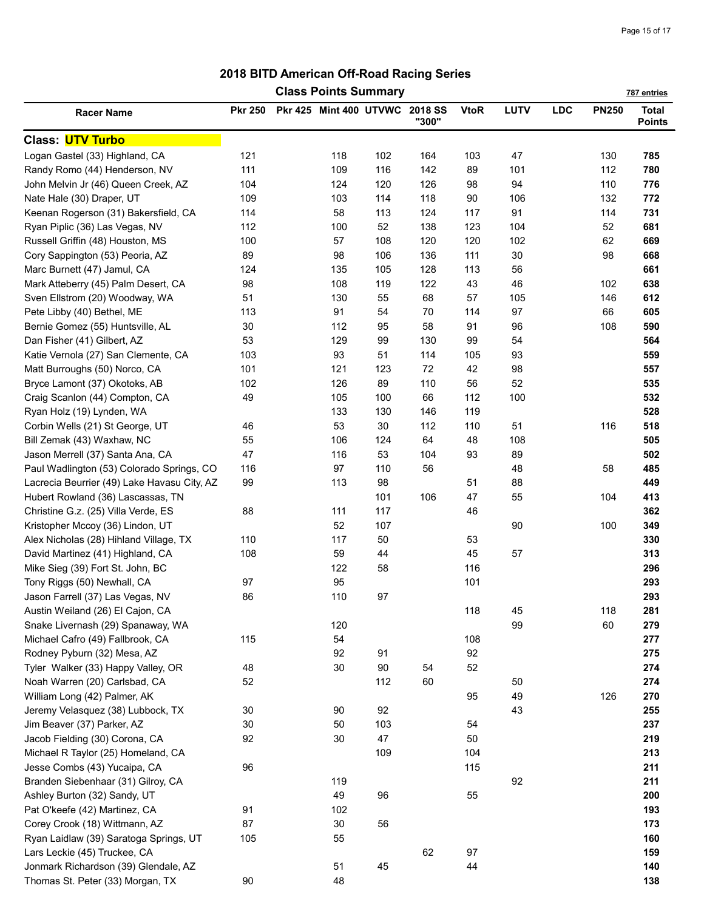| <b>Class Points Summary</b><br>787 entries  |                |  |                                |     |       |             |             |            |              |                               |
|---------------------------------------------|----------------|--|--------------------------------|-----|-------|-------------|-------------|------------|--------------|-------------------------------|
| <b>Racer Name</b>                           | <b>Pkr 250</b> |  | Pkr 425 Mint 400 UTVWC 2018 SS |     | "300" | <b>VtoR</b> | <b>LUTV</b> | <b>LDC</b> | <b>PN250</b> | <b>Total</b><br><b>Points</b> |
| <b>Class: UTV Turbo</b>                     |                |  |                                |     |       |             |             |            |              |                               |
| Logan Gastel (33) Highland, CA              | 121            |  | 118                            | 102 | 164   | 103         | 47          |            | 130          | 785                           |
| Randy Romo (44) Henderson, NV               | 111            |  | 109                            | 116 | 142   | 89          | 101         |            | 112          | 780                           |
| John Melvin Jr (46) Queen Creek, AZ         | 104            |  | 124                            | 120 | 126   | 98          | 94          |            | 110          | 776                           |
| Nate Hale (30) Draper, UT                   | 109            |  | 103                            | 114 | 118   | 90          | 106         |            | 132          | 772                           |
| Keenan Rogerson (31) Bakersfield, CA        | 114            |  | 58                             | 113 | 124   | 117         | 91          |            | 114          | 731                           |
| Ryan Piplic (36) Las Vegas, NV              | 112            |  | 100                            | 52  | 138   | 123         | 104         |            | 52           | 681                           |
| Russell Griffin (48) Houston, MS            | 100            |  | 57                             | 108 | 120   | 120         | 102         |            | 62           | 669                           |
| Cory Sappington (53) Peoria, AZ             | 89             |  | 98                             | 106 | 136   | 111         | 30          |            | 98           | 668                           |
| Marc Burnett (47) Jamul, CA                 | 124            |  | 135                            | 105 | 128   | 113         | 56          |            |              | 661                           |
| Mark Atteberry (45) Palm Desert, CA         | 98             |  | 108                            | 119 | 122   | 43          | 46          |            | 102          | 638                           |
| Sven Ellstrom (20) Woodway, WA              | 51             |  | 130                            | 55  | 68    | 57          | 105         |            | 146          | 612                           |
| Pete Libby (40) Bethel, ME                  | 113            |  | 91                             | 54  | 70    | 114         | 97          |            | 66           | 605                           |
| Bernie Gomez (55) Huntsville, AL            | $30\,$         |  | 112                            | 95  | 58    | 91          | 96          |            | 108          | 590                           |
| Dan Fisher (41) Gilbert, AZ                 | 53             |  | 129                            | 99  | 130   | 99          | 54          |            |              | 564                           |
| Katie Vernola (27) San Clemente, CA         | 103            |  | 93                             | 51  | 114   | 105         | 93          |            |              | 559                           |
| Matt Burroughs (50) Norco, CA               | 101            |  | 121                            | 123 | 72    | 42          | 98          |            |              | 557                           |
| Bryce Lamont (37) Okotoks, AB               | 102            |  | 126                            | 89  | 110   | 56          | 52          |            |              | 535                           |
|                                             | 49             |  | 105                            | 100 | 66    | 112         | 100         |            |              | 532                           |
| Craig Scanlon (44) Compton, CA              |                |  |                                |     |       |             |             |            |              |                               |
| Ryan Holz (19) Lynden, WA                   |                |  | 133                            | 130 | 146   | 119         |             |            |              | 528                           |
| Corbin Wells (21) St George, UT             | 46             |  | 53                             | 30  | 112   | 110         | 51          |            | 116          | 518                           |
| Bill Zemak (43) Waxhaw, NC                  | 55             |  | 106                            | 124 | 64    | 48          | 108         |            |              | 505                           |
| Jason Merrell (37) Santa Ana, CA            | 47             |  | 116                            | 53  | 104   | 93          | 89          |            |              | 502                           |
| Paul Wadlington (53) Colorado Springs, CO   | 116            |  | 97                             | 110 | 56    |             | 48          |            | 58           | 485                           |
| Lacrecia Beurrier (49) Lake Havasu City, AZ | 99             |  | 113                            | 98  |       | 51          | 88          |            |              | 449                           |
| Hubert Rowland (36) Lascassas, TN           |                |  |                                | 101 | 106   | 47          | 55          |            | 104          | 413                           |
| Christine G.z. (25) Villa Verde, ES         | 88             |  | 111                            | 117 |       | 46          |             |            |              | 362                           |
| Kristopher Mccoy (36) Lindon, UT            |                |  | 52                             | 107 |       |             | 90          |            | 100          | 349                           |
| Alex Nicholas (28) Hihland Village, TX      | 110            |  | 117                            | 50  |       | 53          |             |            |              | 330                           |
| David Martinez (41) Highland, CA            | 108            |  | 59                             | 44  |       | 45          | 57          |            |              | 313                           |
| Mike Sieg (39) Fort St. John, BC            |                |  | 122                            | 58  |       | 116         |             |            |              | 296                           |
| Tony Riggs (50) Newhall, CA                 | 97             |  | 95                             |     |       | 101         |             |            |              | 293                           |
| Jason Farrell (37) Las Vegas, NV            | 86             |  | 110                            | 97  |       |             |             |            |              | 293                           |
| Austin Weiland (26) El Cajon, CA            |                |  |                                |     |       | 118         | 45          |            | 118          | 281                           |
| Snake Livernash (29) Spanaway, WA           |                |  | 120                            |     |       |             | 99          |            | 60           | 279                           |
| Michael Cafro (49) Fallbrook, CA            | 115            |  | 54                             |     |       | 108         |             |            |              | 277                           |
| Rodney Pyburn (32) Mesa, AZ                 |                |  | 92                             | 91  |       | 92          |             |            |              | 275                           |
| Tyler Walker (33) Happy Valley, OR          | 48             |  | $30\,$                         | 90  | 54    | 52          |             |            |              | 274                           |
| Noah Warren (20) Carlsbad, CA               | 52             |  |                                | 112 | 60    |             | 50          |            |              | 274                           |
| William Long (42) Palmer, AK                |                |  |                                |     |       | 95          | 49          |            | 126          | 270                           |
| Jeremy Velasquez (38) Lubbock, TX           | 30             |  | 90                             | 92  |       |             | 43          |            |              | 255                           |
| Jim Beaver (37) Parker, AZ                  | 30             |  | 50                             | 103 |       | 54          |             |            |              | 237                           |
| Jacob Fielding (30) Corona, CA              | 92             |  | 30                             | 47  |       | 50          |             |            |              | 219                           |
| Michael R Taylor (25) Homeland, CA          |                |  |                                | 109 |       | 104         |             |            |              | 213                           |
| Jesse Combs (43) Yucaipa, CA                | 96             |  |                                |     |       | 115         |             |            |              | 211                           |
| Branden Siebenhaar (31) Gilroy, CA          |                |  | 119                            |     |       |             | 92          |            |              | 211                           |
| Ashley Burton (32) Sandy, UT                |                |  | 49                             | 96  |       | 55          |             |            |              | 200                           |
| Pat O'keefe (42) Martinez, CA               | 91             |  | 102                            |     |       |             |             |            |              | 193                           |
| Corey Crook (18) Wittmann, AZ               | 87             |  | 30                             | 56  |       |             |             |            |              | 173                           |
| Ryan Laidlaw (39) Saratoga Springs, UT      | 105            |  | 55                             |     |       |             |             |            |              | 160                           |
| Lars Leckie (45) Truckee, CA                |                |  |                                |     | 62    | 97          |             |            |              | 159                           |
| Jonmark Richardson (39) Glendale, AZ        |                |  | 51                             | 45  |       | 44          |             |            |              | 140                           |
| Thomas St. Peter (33) Morgan, TX            | 90             |  | 48                             |     |       |             |             |            |              | 138                           |
|                                             |                |  |                                |     |       |             |             |            |              |                               |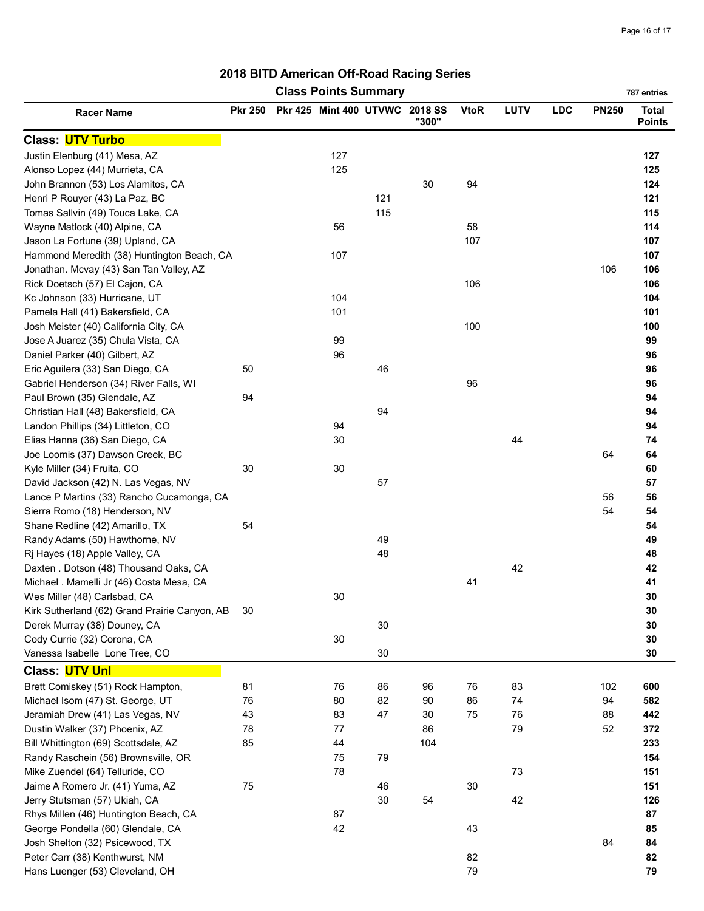| <b>Class Points Summary</b><br>787 entries                       |                |  |                                |          |       |             |      |            |              |                               |
|------------------------------------------------------------------|----------------|--|--------------------------------|----------|-------|-------------|------|------------|--------------|-------------------------------|
| <b>Racer Name</b>                                                | <b>Pkr 250</b> |  | Pkr 425 Mint 400 UTVWC 2018 SS |          | "300" | <b>VtoR</b> | LUTV | <b>LDC</b> | <b>PN250</b> | <b>Total</b><br><b>Points</b> |
| <b>Class: UTV Turbo</b>                                          |                |  |                                |          |       |             |      |            |              |                               |
| Justin Elenburg (41) Mesa, AZ                                    |                |  | 127                            |          |       |             |      |            |              | 127                           |
| Alonso Lopez (44) Murrieta, CA                                   |                |  | 125                            |          |       |             |      |            |              | 125                           |
| John Brannon (53) Los Alamitos, CA                               |                |  |                                |          | 30    | 94          |      |            |              | 124                           |
| Henri P Rouyer (43) La Paz, BC                                   |                |  |                                | 121      |       |             |      |            |              | 121                           |
| Tomas Sallvin (49) Touca Lake, CA                                |                |  |                                | 115      |       |             |      |            |              | 115                           |
| Wayne Matlock (40) Alpine, CA                                    |                |  | 56                             |          |       | 58          |      |            |              | 114                           |
| Jason La Fortune (39) Upland, CA                                 |                |  |                                |          |       | 107         |      |            |              | 107                           |
| Hammond Meredith (38) Huntington Beach, CA                       |                |  | 107                            |          |       |             |      |            |              | 107                           |
| Jonathan. Mcvay (43) San Tan Valley, AZ                          |                |  |                                |          |       |             |      |            | 106          | 106                           |
| Rick Doetsch (57) El Cajon, CA                                   |                |  |                                |          |       | 106         |      |            |              | 106                           |
| Kc Johnson (33) Hurricane, UT                                    |                |  | 104                            |          |       |             |      |            |              | 104                           |
| Pamela Hall (41) Bakersfield, CA                                 |                |  | 101                            |          |       |             |      |            |              | 101                           |
| Josh Meister (40) California City, CA                            |                |  |                                |          |       | 100         |      |            |              | 100                           |
| Jose A Juarez (35) Chula Vista, CA                               |                |  | 99                             |          |       |             |      |            |              | 99                            |
| Daniel Parker (40) Gilbert, AZ                                   |                |  | 96                             |          |       |             |      |            |              | 96                            |
| Eric Aguilera (33) San Diego, CA                                 | 50             |  |                                | 46       |       |             |      |            |              | 96                            |
| Gabriel Henderson (34) River Falls, WI                           |                |  |                                |          |       | 96          |      |            |              | 96                            |
| Paul Brown (35) Glendale, AZ                                     | 94             |  |                                |          |       |             |      |            |              | 94                            |
| Christian Hall (48) Bakersfield, CA                              |                |  |                                | 94       |       |             |      |            |              | 94                            |
| Landon Phillips (34) Littleton, CO                               |                |  | 94                             |          |       |             |      |            |              | 94                            |
| Elias Hanna (36) San Diego, CA                                   |                |  | 30                             |          |       |             | 44   |            |              | 74                            |
| Joe Loomis (37) Dawson Creek, BC                                 |                |  |                                |          |       |             |      |            | 64           | 64                            |
| Kyle Miller (34) Fruita, CO                                      | 30             |  | 30                             |          |       |             |      |            |              | 60                            |
| David Jackson (42) N. Las Vegas, NV                              |                |  |                                | 57       |       |             |      |            |              | 57                            |
| Lance P Martins (33) Rancho Cucamonga, CA                        |                |  |                                |          |       |             |      |            | 56           | 56                            |
| Sierra Romo (18) Henderson, NV                                   |                |  |                                |          |       |             |      |            | 54           | 54                            |
| Shane Redline (42) Amarillo, TX                                  | 54             |  |                                |          |       |             |      |            |              | 54                            |
|                                                                  |                |  |                                |          |       |             |      |            |              |                               |
| Randy Adams (50) Hawthorne, NV<br>Rj Hayes (18) Apple Valley, CA |                |  |                                | 49<br>48 |       |             |      |            |              | 49<br>48                      |
| Daxten . Dotson (48) Thousand Oaks, CA                           |                |  |                                |          |       |             | 42   |            |              | 42                            |
|                                                                  |                |  |                                |          |       | 41          |      |            |              | 41                            |
| Michael . Mamelli Jr (46) Costa Mesa, CA                         |                |  |                                |          |       |             |      |            |              | 30                            |
| Wes Miller (48) Carlsbad, CA                                     |                |  | 30                             |          |       |             |      |            |              |                               |
| Kirk Sutherland (62) Grand Prairie Canyon, AB                    | 30             |  |                                |          |       |             |      |            |              | 30                            |
| Derek Murray (38) Douney, CA                                     |                |  |                                | 30       |       |             |      |            |              | 30                            |
| Cody Currie (32) Corona, CA                                      |                |  | 30                             |          |       |             |      |            |              | 30                            |
| Vanessa Isabelle Lone Tree, CO                                   |                |  |                                | 30       |       |             |      |            |              | 30                            |
| Class: UTV Unl                                                   |                |  |                                |          |       |             |      |            |              |                               |
| Brett Comiskey (51) Rock Hampton,                                | 81             |  | 76                             | 86       | 96    | 76          | 83   |            | 102          | 600                           |
| Michael Isom (47) St. George, UT                                 | 76             |  | 80                             | 82       | 90    | 86          | 74   |            | 94           | 582                           |
| Jeramiah Drew (41) Las Vegas, NV                                 | 43             |  | 83                             | 47       | 30    | 75          | 76   |            | 88           | 442                           |
| Dustin Walker (37) Phoenix, AZ                                   | 78             |  | 77                             |          | 86    |             | 79   |            | 52           | 372                           |
| Bill Whittington (69) Scottsdale, AZ                             | 85             |  | 44                             |          | 104   |             |      |            |              | 233                           |
| Randy Raschein (56) Brownsville, OR                              |                |  | 75                             | 79       |       |             |      |            |              | 154                           |
| Mike Zuendel (64) Telluride, CO                                  |                |  | 78                             |          |       |             | 73   |            |              | 151                           |
| Jaime A Romero Jr. (41) Yuma, AZ                                 | 75             |  |                                | 46       |       | 30          |      |            |              | 151                           |
| Jerry Stutsman (57) Ukiah, CA                                    |                |  |                                | 30       | 54    |             | 42   |            |              | 126                           |
| Rhys Millen (46) Huntington Beach, CA                            |                |  | 87                             |          |       |             |      |            |              | 87                            |
| George Pondella (60) Glendale, CA                                |                |  | 42                             |          |       | 43          |      |            |              | 85                            |
| Josh Shelton (32) Psicewood, TX                                  |                |  |                                |          |       |             |      |            | 84           | 84                            |
| Peter Carr (38) Kenthwurst, NM                                   |                |  |                                |          |       | 82          |      |            |              | 82                            |
| Hans Luenger (53) Cleveland, OH                                  |                |  |                                |          |       | 79          |      |            |              | 79                            |